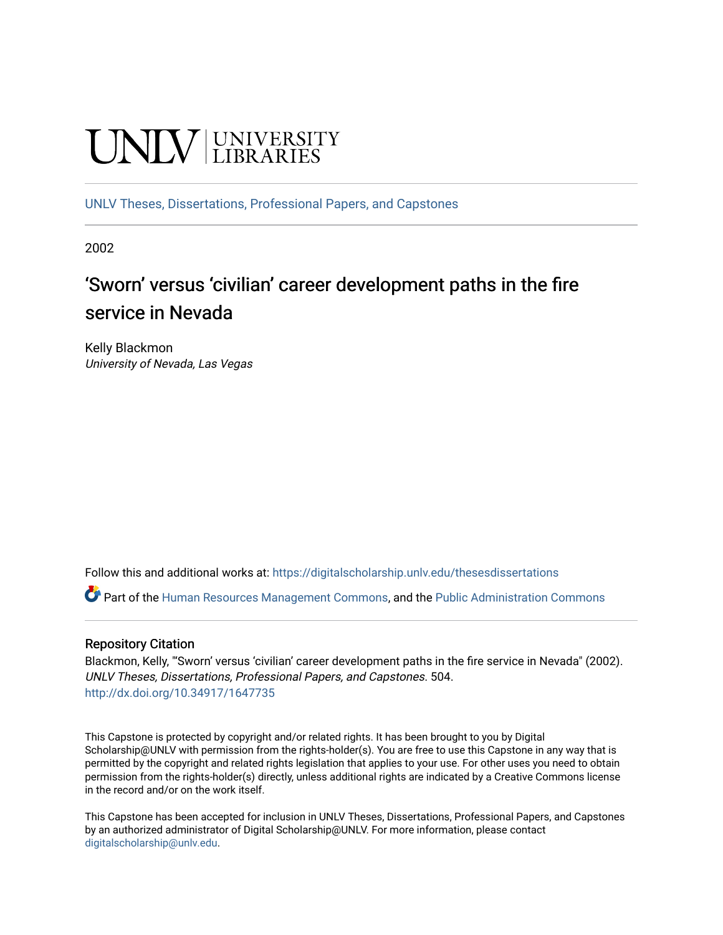# UNIV UNIVERSITY

[UNLV Theses, Dissertations, Professional Papers, and Capstones](https://digitalscholarship.unlv.edu/thesesdissertations)

2002

### 'Sworn' versus 'civilian' career development paths in the fire service in Nevada

Kelly Blackmon University of Nevada, Las Vegas

Follow this and additional works at: [https://digitalscholarship.unlv.edu/thesesdissertations](https://digitalscholarship.unlv.edu/thesesdissertations?utm_source=digitalscholarship.unlv.edu%2Fthesesdissertations%2F504&utm_medium=PDF&utm_campaign=PDFCoverPages)

Part of the [Human Resources Management Commons,](http://network.bepress.com/hgg/discipline/633?utm_source=digitalscholarship.unlv.edu%2Fthesesdissertations%2F504&utm_medium=PDF&utm_campaign=PDFCoverPages) and the [Public Administration Commons](http://network.bepress.com/hgg/discipline/398?utm_source=digitalscholarship.unlv.edu%2Fthesesdissertations%2F504&utm_medium=PDF&utm_campaign=PDFCoverPages) 

#### Repository Citation

Blackmon, Kelly, "'Sworn' versus 'civilian' career development paths in the fire service in Nevada" (2002). UNLV Theses, Dissertations, Professional Papers, and Capstones. 504. <http://dx.doi.org/10.34917/1647735>

This Capstone is protected by copyright and/or related rights. It has been brought to you by Digital Scholarship@UNLV with permission from the rights-holder(s). You are free to use this Capstone in any way that is permitted by the copyright and related rights legislation that applies to your use. For other uses you need to obtain permission from the rights-holder(s) directly, unless additional rights are indicated by a Creative Commons license in the record and/or on the work itself.

This Capstone has been accepted for inclusion in UNLV Theses, Dissertations, Professional Papers, and Capstones by an authorized administrator of Digital Scholarship@UNLV. For more information, please contact [digitalscholarship@unlv.edu](mailto:digitalscholarship@unlv.edu).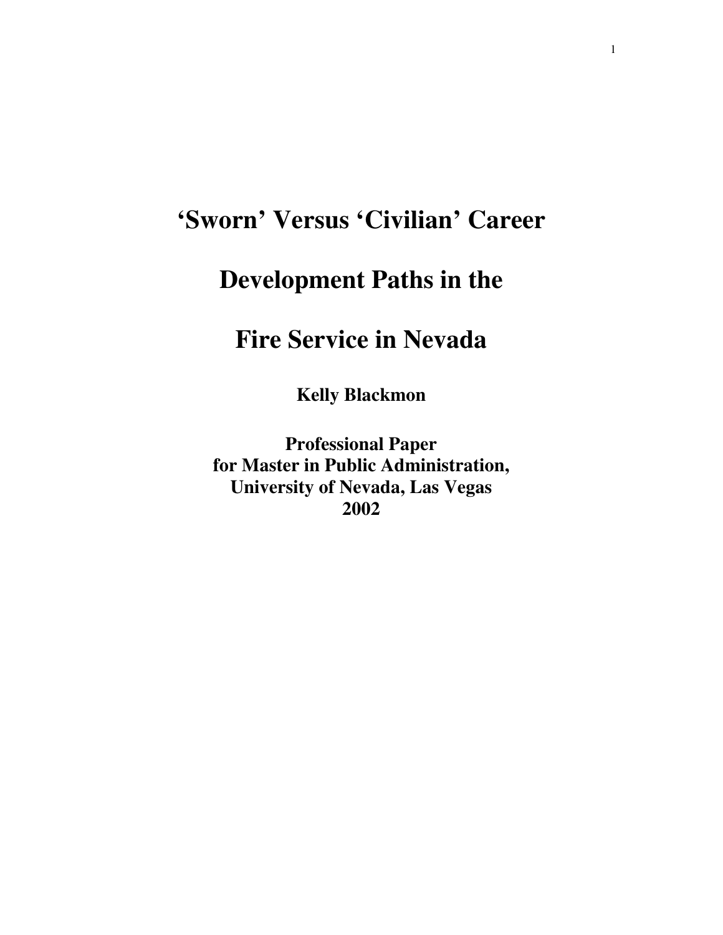# **'Sworn' Versus 'Civilian' Career**

## **Development Paths in the**

## **Fire Service in Nevada**

**Kelly Blackmon** 

**Professional Paper for Master in Public Administration, University of Nevada, Las Vegas 2002**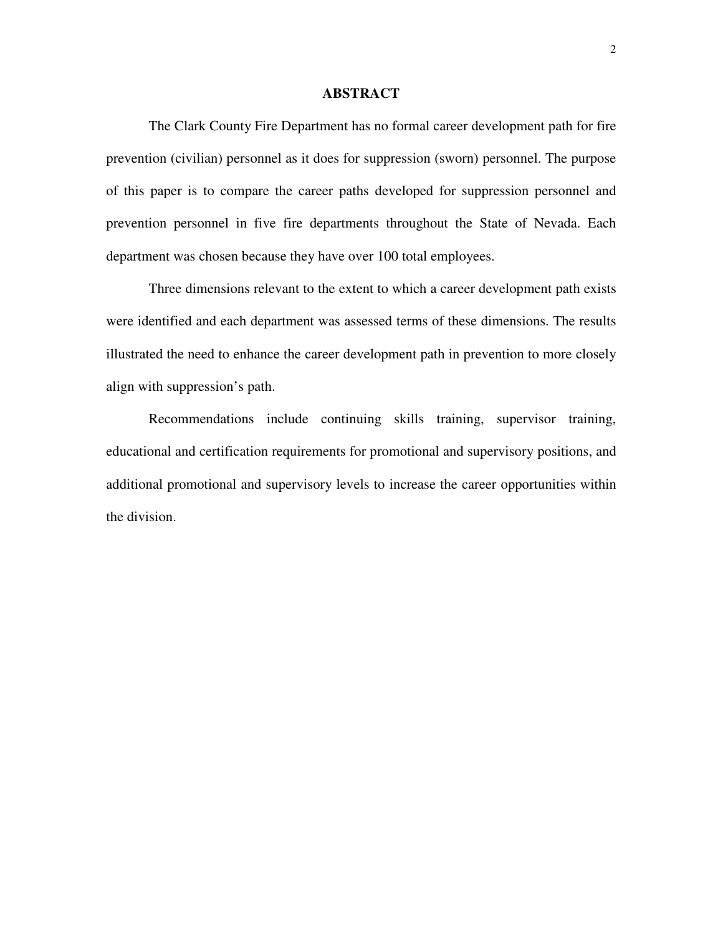#### **ABSTRACT**

The Clark County Fire Department has no formal career development path for fire prevention (civilian) personnel as it does for suppression (sworn) personnel. The purpose of this paper is to compare the career paths developed for suppression personnel and prevention personnel in five fire departments throughout the State of Nevada. Each department was chosen because they have over 100 total employees.

Three dimensions relevant to the extent to which a career development path exists were identified and each department was assessed terms of these dimensions. The results illustrated the need to enhance the career development path in prevention to more closely align with suppression's path.

Recommendations include continuing skills training, supervisor training, educational and certification requirements for promotional and supervisory positions, and additional promotional and supervisory levels to increase the career opportunities within the division.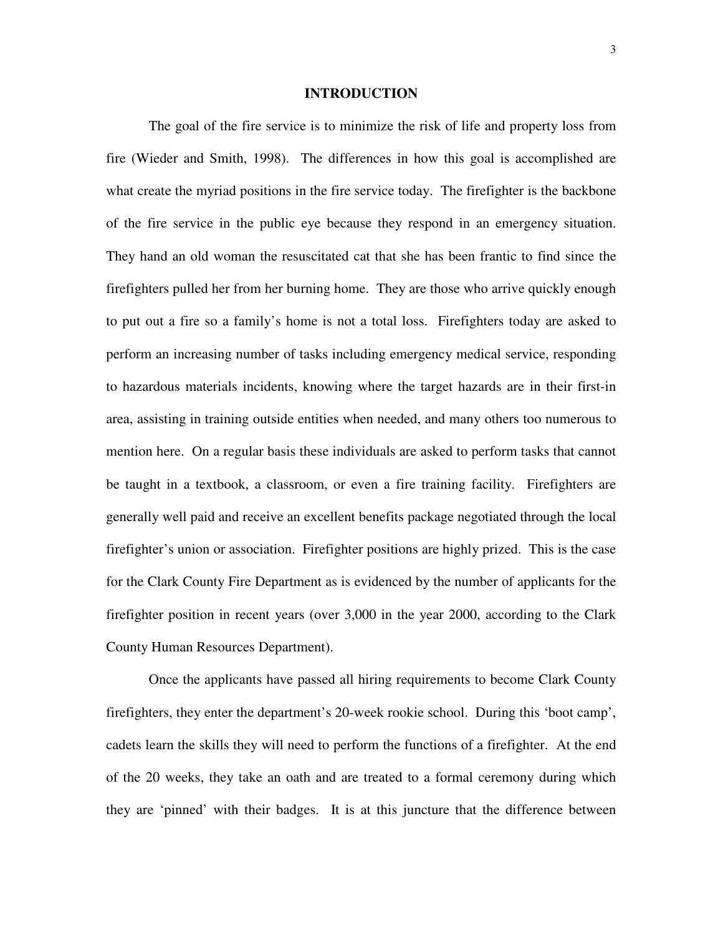#### **INTRODUCTION**

 The goal of the fire service is to minimize the risk of life and property loss from fire (Wieder and Smith, 1998). The differences in how this goal is accomplished are what create the myriad positions in the fire service today. The firefighter is the backbone of the fire service in the public eye because they respond in an emergency situation. They hand an old woman the resuscitated cat that she has been frantic to find since the firefighters pulled her from her burning home. They are those who arrive quickly enough to put out a fire so a family's home is not a total loss. Firefighters today are asked to perform an increasing number of tasks including emergency medical service, responding to hazardous materials incidents, knowing where the target hazards are in their first-in area, assisting in training outside entities when needed, and many others too numerous to mention here. On a regular basis these individuals are asked to perform tasks that cannot be taught in a textbook, a classroom, or even a fire training facility. Firefighters are generally well paid and receive an excellent benefits package negotiated through the local firefighter's union or association. Firefighter positions are highly prized. This is the case for the Clark County Fire Department as is evidenced by the number of applicants for the firefighter position in recent years (over 3,000 in the year 2000, according to the Clark County Human Resources Department).

 Once the applicants have passed all hiring requirements to become Clark County firefighters, they enter the department's 20-week rookie school. During this 'boot camp', cadets learn the skills they will need to perform the functions of a firefighter. At the end of the 20 weeks, they take an oath and are treated to a formal ceremony during which they are 'pinned' with their badges. It is at this juncture that the difference between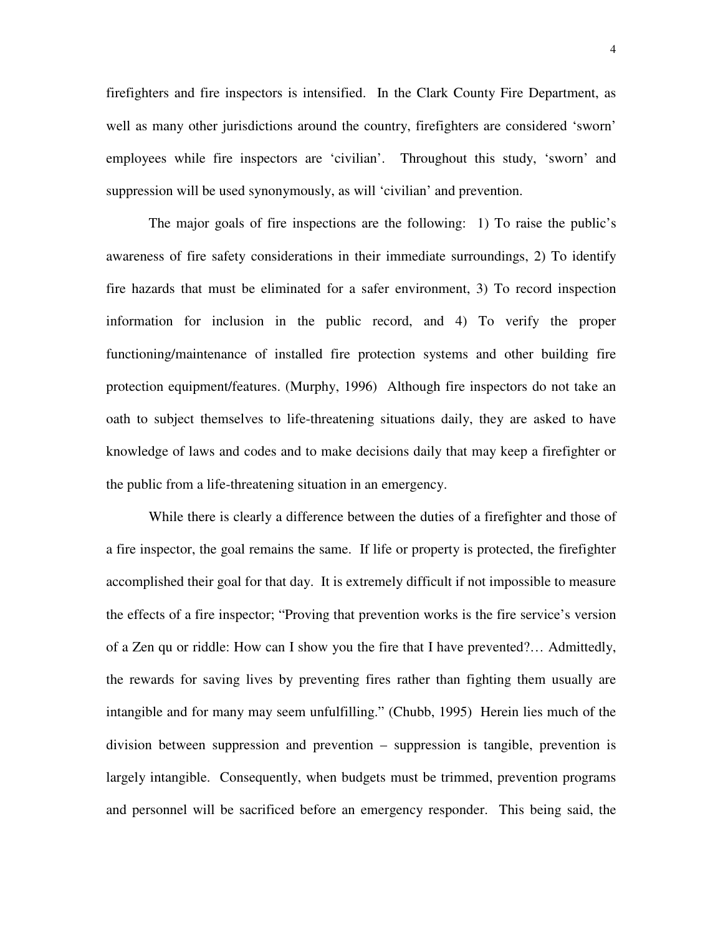firefighters and fire inspectors is intensified. In the Clark County Fire Department, as well as many other jurisdictions around the country, firefighters are considered 'sworn' employees while fire inspectors are 'civilian'. Throughout this study, 'sworn' and suppression will be used synonymously, as will 'civilian' and prevention.

The major goals of fire inspections are the following: 1) To raise the public's awareness of fire safety considerations in their immediate surroundings, 2) To identify fire hazards that must be eliminated for a safer environment, 3) To record inspection information for inclusion in the public record, and 4) To verify the proper functioning/maintenance of installed fire protection systems and other building fire protection equipment/features. (Murphy, 1996) Although fire inspectors do not take an oath to subject themselves to life-threatening situations daily, they are asked to have knowledge of laws and codes and to make decisions daily that may keep a firefighter or the public from a life-threatening situation in an emergency.

 While there is clearly a difference between the duties of a firefighter and those of a fire inspector, the goal remains the same. If life or property is protected, the firefighter accomplished their goal for that day. It is extremely difficult if not impossible to measure the effects of a fire inspector; "Proving that prevention works is the fire service's version of a Zen qu or riddle: How can I show you the fire that I have prevented?… Admittedly, the rewards for saving lives by preventing fires rather than fighting them usually are intangible and for many may seem unfulfilling." (Chubb, 1995) Herein lies much of the division between suppression and prevention – suppression is tangible, prevention is largely intangible. Consequently, when budgets must be trimmed, prevention programs and personnel will be sacrificed before an emergency responder. This being said, the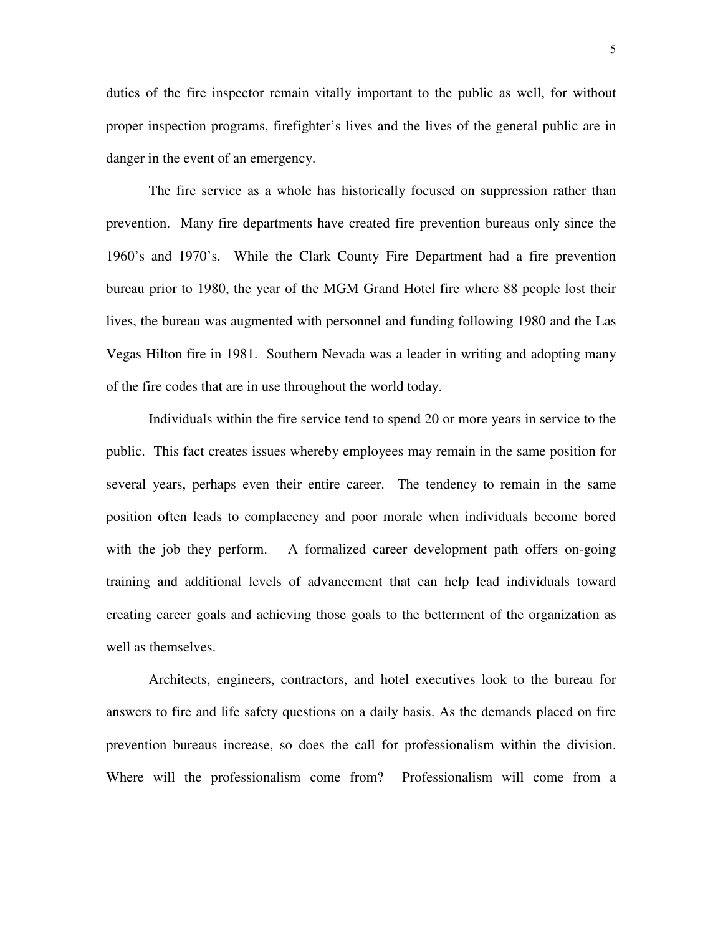duties of the fire inspector remain vitally important to the public as well, for without proper inspection programs, firefighter's lives and the lives of the general public are in danger in the event of an emergency.

 The fire service as a whole has historically focused on suppression rather than prevention. Many fire departments have created fire prevention bureaus only since the 1960's and 1970's. While the Clark County Fire Department had a fire prevention bureau prior to 1980, the year of the MGM Grand Hotel fire where 88 people lost their lives, the bureau was augmented with personnel and funding following 1980 and the Las Vegas Hilton fire in 1981. Southern Nevada was a leader in writing and adopting many of the fire codes that are in use throughout the world today.

 Individuals within the fire service tend to spend 20 or more years in service to the public. This fact creates issues whereby employees may remain in the same position for several years, perhaps even their entire career. The tendency to remain in the same position often leads to complacency and poor morale when individuals become bored with the job they perform. A formalized career development path offers on-going training and additional levels of advancement that can help lead individuals toward creating career goals and achieving those goals to the betterment of the organization as well as themselves.

 Architects, engineers, contractors, and hotel executives look to the bureau for answers to fire and life safety questions on a daily basis. As the demands placed on fire prevention bureaus increase, so does the call for professionalism within the division. Where will the professionalism come from? Professionalism will come from a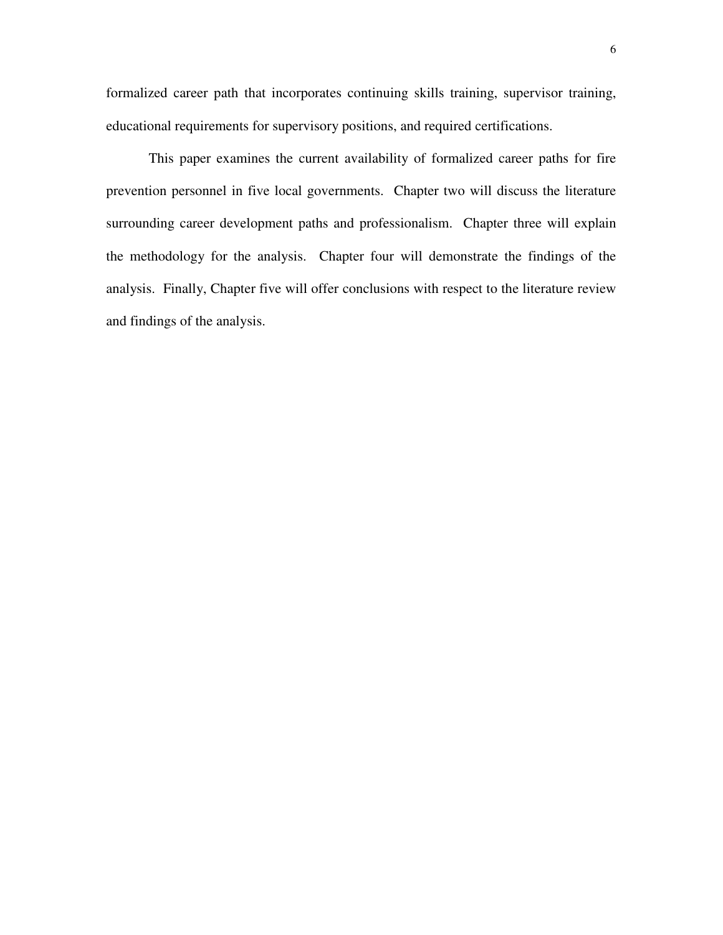formalized career path that incorporates continuing skills training, supervisor training, educational requirements for supervisory positions, and required certifications.

 This paper examines the current availability of formalized career paths for fire prevention personnel in five local governments. Chapter two will discuss the literature surrounding career development paths and professionalism. Chapter three will explain the methodology for the analysis. Chapter four will demonstrate the findings of the analysis. Finally, Chapter five will offer conclusions with respect to the literature review and findings of the analysis.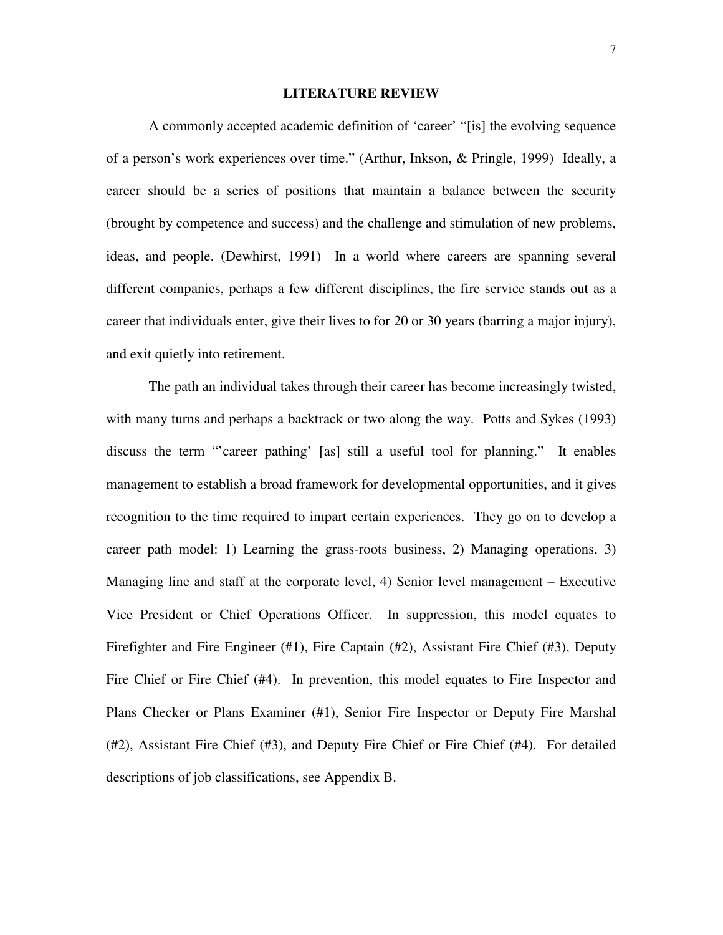#### **LITERATURE REVIEW**

 A commonly accepted academic definition of 'career' "[is] the evolving sequence of a person's work experiences over time." (Arthur, Inkson, & Pringle, 1999) Ideally, a career should be a series of positions that maintain a balance between the security (brought by competence and success) and the challenge and stimulation of new problems, ideas, and people. (Dewhirst, 1991) In a world where careers are spanning several different companies, perhaps a few different disciplines, the fire service stands out as a career that individuals enter, give their lives to for 20 or 30 years (barring a major injury), and exit quietly into retirement.

 The path an individual takes through their career has become increasingly twisted, with many turns and perhaps a backtrack or two along the way. Potts and Sykes (1993) discuss the term "'career pathing' [as] still a useful tool for planning." It enables management to establish a broad framework for developmental opportunities, and it gives recognition to the time required to impart certain experiences. They go on to develop a career path model: 1) Learning the grass-roots business, 2) Managing operations, 3) Managing line and staff at the corporate level, 4) Senior level management – Executive Vice President or Chief Operations Officer. In suppression, this model equates to Firefighter and Fire Engineer (#1), Fire Captain (#2), Assistant Fire Chief (#3), Deputy Fire Chief or Fire Chief (#4). In prevention, this model equates to Fire Inspector and Plans Checker or Plans Examiner (#1), Senior Fire Inspector or Deputy Fire Marshal (#2), Assistant Fire Chief (#3), and Deputy Fire Chief or Fire Chief (#4). For detailed descriptions of job classifications, see Appendix B.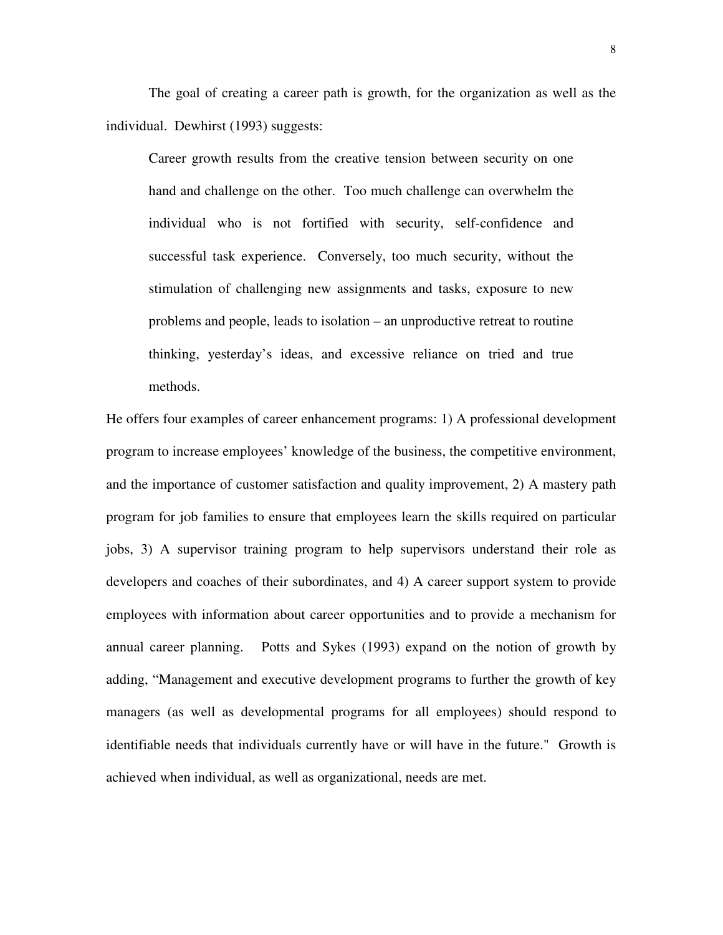The goal of creating a career path is growth, for the organization as well as the individual. Dewhirst (1993) suggests:

Career growth results from the creative tension between security on one hand and challenge on the other. Too much challenge can overwhelm the individual who is not fortified with security, self-confidence and successful task experience. Conversely, too much security, without the stimulation of challenging new assignments and tasks, exposure to new problems and people, leads to isolation – an unproductive retreat to routine thinking, yesterday's ideas, and excessive reliance on tried and true methods.

He offers four examples of career enhancement programs: 1) A professional development program to increase employees' knowledge of the business, the competitive environment, and the importance of customer satisfaction and quality improvement, 2) A mastery path program for job families to ensure that employees learn the skills required on particular jobs, 3) A supervisor training program to help supervisors understand their role as developers and coaches of their subordinates, and 4) A career support system to provide employees with information about career opportunities and to provide a mechanism for annual career planning. Potts and Sykes (1993) expand on the notion of growth by adding, "Management and executive development programs to further the growth of key managers (as well as developmental programs for all employees) should respond to identifiable needs that individuals currently have or will have in the future." Growth is achieved when individual, as well as organizational, needs are met.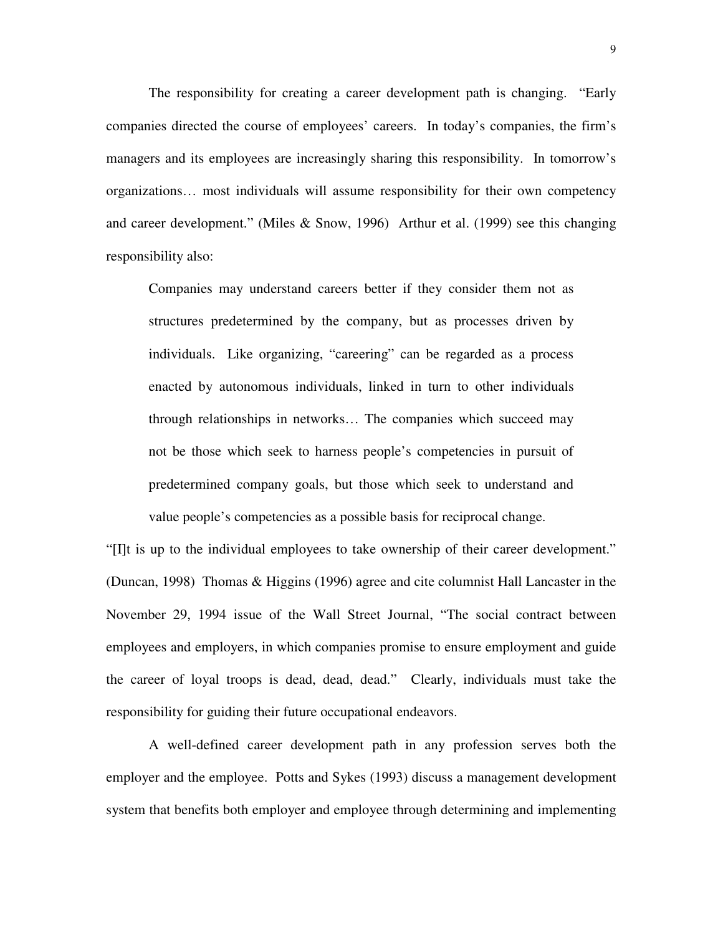The responsibility for creating a career development path is changing. "Early companies directed the course of employees' careers. In today's companies, the firm's managers and its employees are increasingly sharing this responsibility. In tomorrow's organizations… most individuals will assume responsibility for their own competency and career development." (Miles & Snow, 1996) Arthur et al. (1999) see this changing responsibility also:

Companies may understand careers better if they consider them not as structures predetermined by the company, but as processes driven by individuals. Like organizing, "careering" can be regarded as a process enacted by autonomous individuals, linked in turn to other individuals through relationships in networks… The companies which succeed may not be those which seek to harness people's competencies in pursuit of predetermined company goals, but those which seek to understand and value people's competencies as a possible basis for reciprocal change.

"[I]t is up to the individual employees to take ownership of their career development." (Duncan, 1998) Thomas & Higgins (1996) agree and cite columnist Hall Lancaster in the November 29, 1994 issue of the Wall Street Journal, "The social contract between employees and employers, in which companies promise to ensure employment and guide the career of loyal troops is dead, dead, dead." Clearly, individuals must take the responsibility for guiding their future occupational endeavors.

A well-defined career development path in any profession serves both the employer and the employee. Potts and Sykes (1993) discuss a management development system that benefits both employer and employee through determining and implementing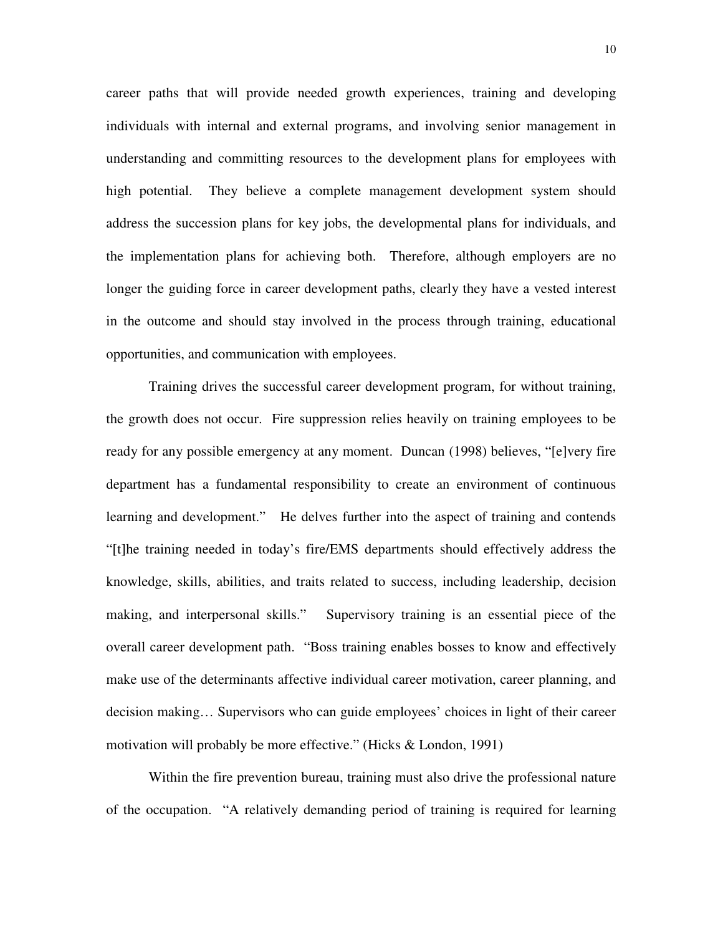career paths that will provide needed growth experiences, training and developing individuals with internal and external programs, and involving senior management in understanding and committing resources to the development plans for employees with high potential. They believe a complete management development system should address the succession plans for key jobs, the developmental plans for individuals, and the implementation plans for achieving both. Therefore, although employers are no longer the guiding force in career development paths, clearly they have a vested interest in the outcome and should stay involved in the process through training, educational opportunities, and communication with employees.

Training drives the successful career development program, for without training, the growth does not occur. Fire suppression relies heavily on training employees to be ready for any possible emergency at any moment. Duncan (1998) believes, "[e]very fire department has a fundamental responsibility to create an environment of continuous learning and development." He delves further into the aspect of training and contends "[t]he training needed in today's fire/EMS departments should effectively address the knowledge, skills, abilities, and traits related to success, including leadership, decision making, and interpersonal skills." Supervisory training is an essential piece of the overall career development path. "Boss training enables bosses to know and effectively make use of the determinants affective individual career motivation, career planning, and decision making… Supervisors who can guide employees' choices in light of their career motivation will probably be more effective." (Hicks & London, 1991)

Within the fire prevention bureau, training must also drive the professional nature of the occupation. "A relatively demanding period of training is required for learning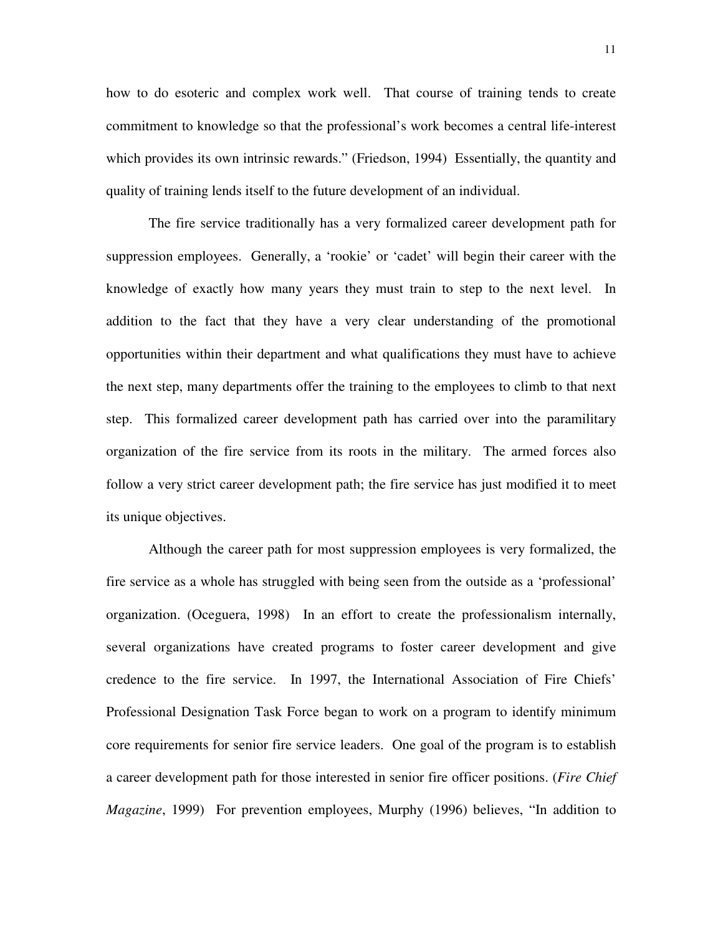how to do esoteric and complex work well. That course of training tends to create commitment to knowledge so that the professional's work becomes a central life-interest which provides its own intrinsic rewards." (Friedson, 1994) Essentially, the quantity and quality of training lends itself to the future development of an individual.

The fire service traditionally has a very formalized career development path for suppression employees. Generally, a 'rookie' or 'cadet' will begin their career with the knowledge of exactly how many years they must train to step to the next level. In addition to the fact that they have a very clear understanding of the promotional opportunities within their department and what qualifications they must have to achieve the next step, many departments offer the training to the employees to climb to that next step. This formalized career development path has carried over into the paramilitary organization of the fire service from its roots in the military. The armed forces also follow a very strict career development path; the fire service has just modified it to meet its unique objectives.

Although the career path for most suppression employees is very formalized, the fire service as a whole has struggled with being seen from the outside as a 'professional' organization. (Oceguera, 1998) In an effort to create the professionalism internally, several organizations have created programs to foster career development and give credence to the fire service. In 1997, the International Association of Fire Chiefs' Professional Designation Task Force began to work on a program to identify minimum core requirements for senior fire service leaders. One goal of the program is to establish a career development path for those interested in senior fire officer positions. (*Fire Chief Magazine*, 1999) For prevention employees, Murphy (1996) believes, "In addition to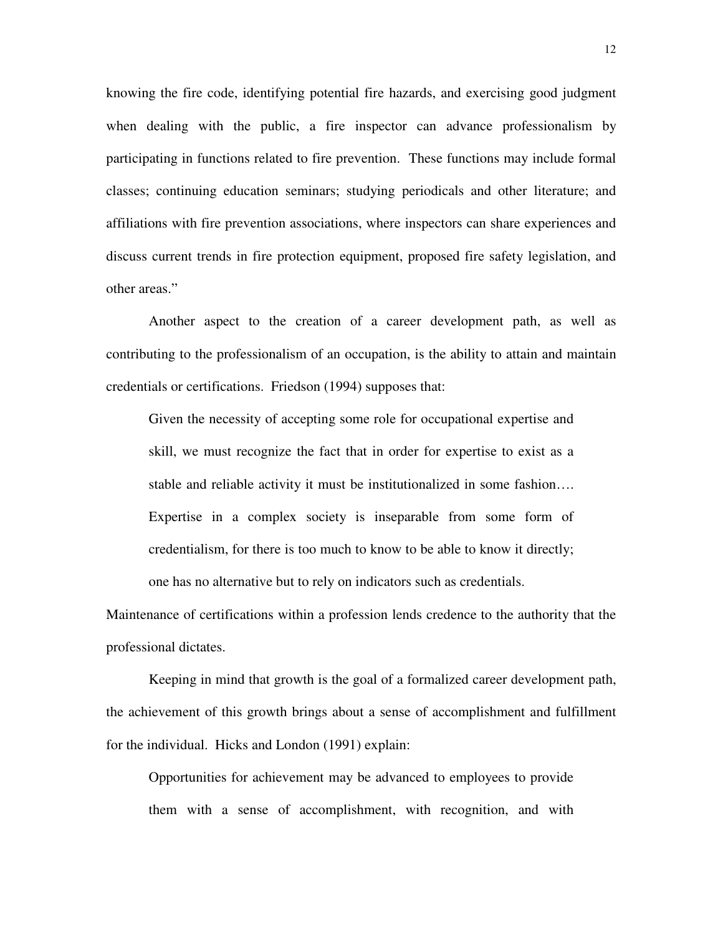knowing the fire code, identifying potential fire hazards, and exercising good judgment when dealing with the public, a fire inspector can advance professionalism by participating in functions related to fire prevention. These functions may include formal classes; continuing education seminars; studying periodicals and other literature; and affiliations with fire prevention associations, where inspectors can share experiences and discuss current trends in fire protection equipment, proposed fire safety legislation, and other areas."

Another aspect to the creation of a career development path, as well as contributing to the professionalism of an occupation, is the ability to attain and maintain credentials or certifications. Friedson (1994) supposes that:

Given the necessity of accepting some role for occupational expertise and skill, we must recognize the fact that in order for expertise to exist as a stable and reliable activity it must be institutionalized in some fashion…. Expertise in a complex society is inseparable from some form of credentialism, for there is too much to know to be able to know it directly; one has no alternative but to rely on indicators such as credentials.

Maintenance of certifications within a profession lends credence to the authority that the professional dictates.

Keeping in mind that growth is the goal of a formalized career development path, the achievement of this growth brings about a sense of accomplishment and fulfillment for the individual. Hicks and London (1991) explain:

Opportunities for achievement may be advanced to employees to provide them with a sense of accomplishment, with recognition, and with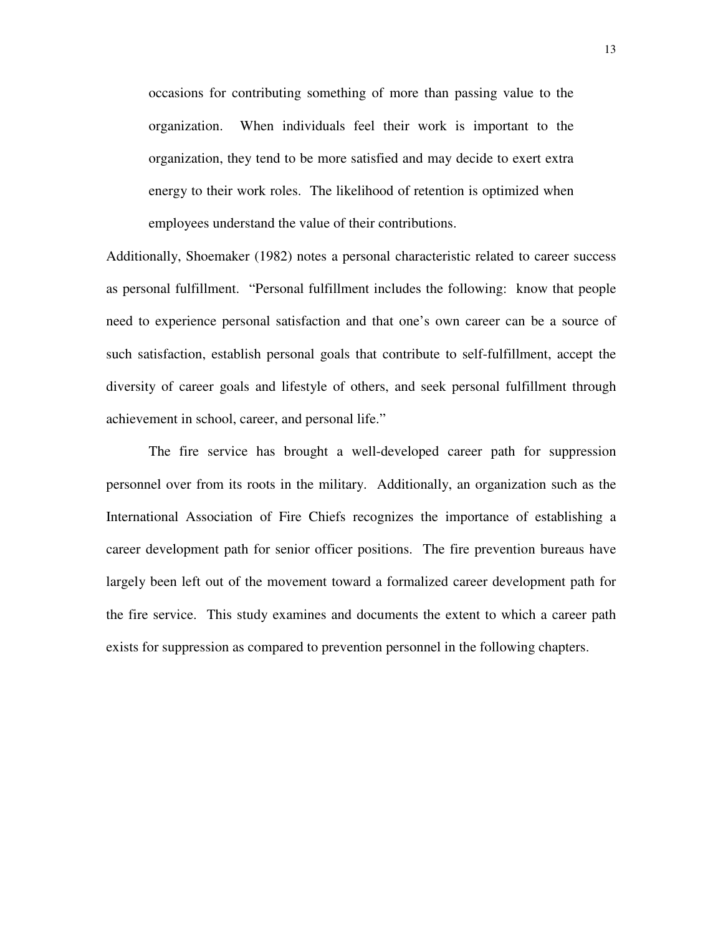occasions for contributing something of more than passing value to the organization. When individuals feel their work is important to the organization, they tend to be more satisfied and may decide to exert extra energy to their work roles. The likelihood of retention is optimized when employees understand the value of their contributions.

Additionally, Shoemaker (1982) notes a personal characteristic related to career success as personal fulfillment. "Personal fulfillment includes the following: know that people need to experience personal satisfaction and that one's own career can be a source of such satisfaction, establish personal goals that contribute to self-fulfillment, accept the diversity of career goals and lifestyle of others, and seek personal fulfillment through achievement in school, career, and personal life."

The fire service has brought a well-developed career path for suppression personnel over from its roots in the military. Additionally, an organization such as the International Association of Fire Chiefs recognizes the importance of establishing a career development path for senior officer positions. The fire prevention bureaus have largely been left out of the movement toward a formalized career development path for the fire service. This study examines and documents the extent to which a career path exists for suppression as compared to prevention personnel in the following chapters.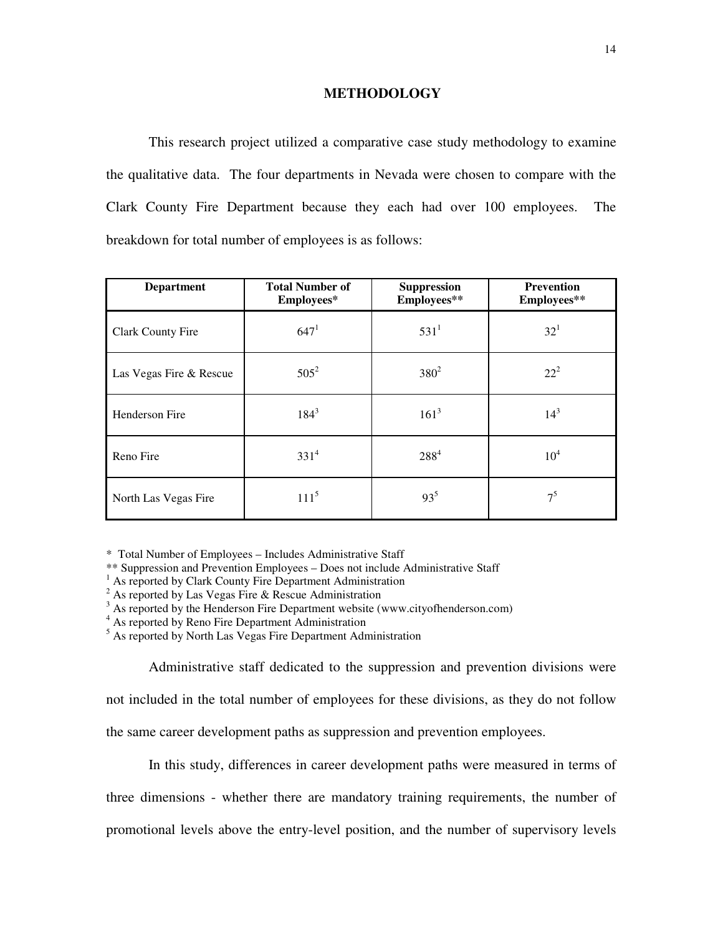#### **METHODOLOGY**

 This research project utilized a comparative case study methodology to examine the qualitative data. The four departments in Nevada were chosen to compare with the Clark County Fire Department because they each had over 100 employees. The breakdown for total number of employees is as follows:

| <b>Department</b>       | <b>Total Number of</b><br>Employees* | <b>Suppression</b><br>Employees** | <b>Prevention</b><br>Employees** |
|-------------------------|--------------------------------------|-----------------------------------|----------------------------------|
| Clark County Fire       | 647 <sup>1</sup>                     | $531^1$                           | $32^{1}$                         |
| Las Vegas Fire & Rescue | $505^2$                              | $380^{2}$                         | $22^{2}$                         |
| Henderson Fire          | $184^{3}$                            | $161^3$                           | $14^{3}$                         |
| Reno Fire               | $331^{4}$                            | $288^{4}$                         | 10 <sup>4</sup>                  |
| North Las Vegas Fire    | $111^5$                              | $93^{5}$                          | 7 <sup>5</sup>                   |

\* Total Number of Employees – Includes Administrative Staff

\*\* Suppression and Prevention Employees – Does not include Administrative Staff

- <sup>1</sup> As reported by Clark County Fire Department Administration
- $2^{2}$  As reported by Las Vegas Fire & Rescue Administration
- $3$  As reported by the Henderson Fire Department website (www.cityofhenderson.com)
- <sup>4</sup> As reported by Reno Fire Department Administration

<sup>5</sup> As reported by North Las Vegas Fire Department Administration

 Administrative staff dedicated to the suppression and prevention divisions were not included in the total number of employees for these divisions, as they do not follow the same career development paths as suppression and prevention employees.

 In this study, differences in career development paths were measured in terms of three dimensions - whether there are mandatory training requirements, the number of promotional levels above the entry-level position, and the number of supervisory levels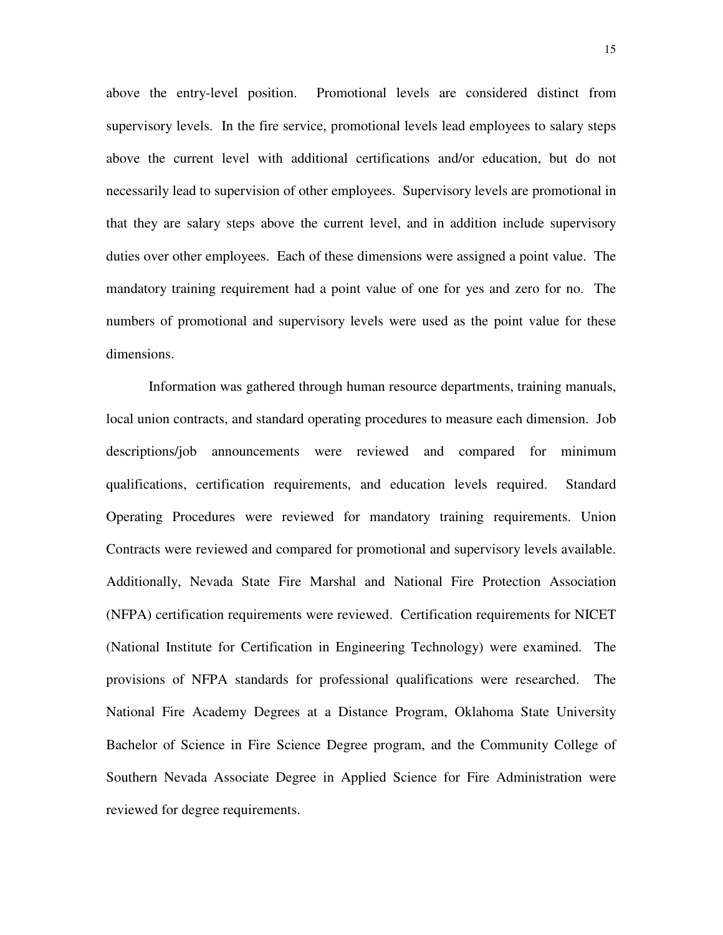above the entry-level position. Promotional levels are considered distinct from supervisory levels. In the fire service, promotional levels lead employees to salary steps above the current level with additional certifications and/or education, but do not necessarily lead to supervision of other employees. Supervisory levels are promotional in that they are salary steps above the current level, and in addition include supervisory duties over other employees. Each of these dimensions were assigned a point value. The mandatory training requirement had a point value of one for yes and zero for no. The numbers of promotional and supervisory levels were used as the point value for these dimensions.

Information was gathered through human resource departments, training manuals, local union contracts, and standard operating procedures to measure each dimension. Job descriptions/job announcements were reviewed and compared for minimum qualifications, certification requirements, and education levels required. Standard Operating Procedures were reviewed for mandatory training requirements. Union Contracts were reviewed and compared for promotional and supervisory levels available. Additionally, Nevada State Fire Marshal and National Fire Protection Association (NFPA) certification requirements were reviewed. Certification requirements for NICET (National Institute for Certification in Engineering Technology) were examined. The provisions of NFPA standards for professional qualifications were researched. The National Fire Academy Degrees at a Distance Program, Oklahoma State University Bachelor of Science in Fire Science Degree program, and the Community College of Southern Nevada Associate Degree in Applied Science for Fire Administration were reviewed for degree requirements.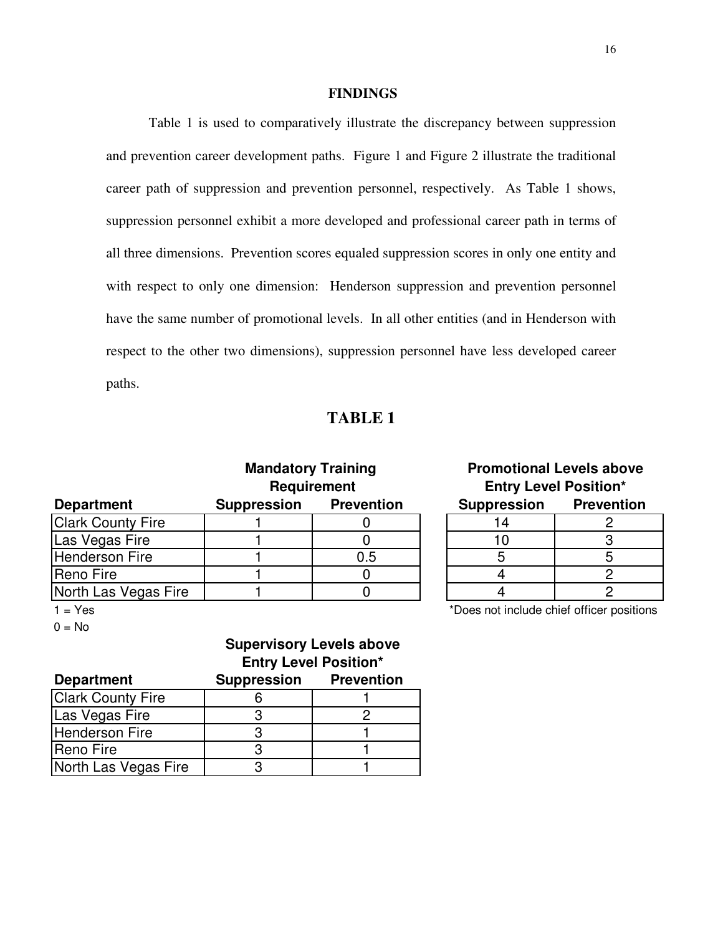#### **FINDINGS**

Table 1 is used to comparatively illustrate the discrepancy between suppression and prevention career development paths. Figure 1 and Figure 2 illustrate the traditional career path of suppression and prevention personnel, respectively. As Table 1 shows, suppression personnel exhibit a more developed and professional career path in terms of all three dimensions. Prevention scores equaled suppression scores in only one entity and with respect to only one dimension: Henderson suppression and prevention personnel have the same number of promotional levels. In all other entities (and in Henderson with respect to the other two dimensions), suppression personnel have less developed career paths.

### **TABLE 1**

|                          | <b>Mandatory Training</b><br><b>Requirement</b> |                   |  | <b>Promotional Levels above</b><br><b>Entry Level Position*</b> |                   |  |
|--------------------------|-------------------------------------------------|-------------------|--|-----------------------------------------------------------------|-------------------|--|
| <b>Department</b>        | <b>Suppression</b>                              | <b>Prevention</b> |  | <b>Suppression</b>                                              | <b>Prevention</b> |  |
| <b>Clark County Fire</b> |                                                 |                   |  |                                                                 |                   |  |
| Las Vegas Fire           |                                                 |                   |  | 10                                                              |                   |  |
| <b>Henderson Fire</b>    |                                                 | 0.5               |  |                                                                 |                   |  |
| Reno Fire                |                                                 |                   |  |                                                                 |                   |  |
| North Las Vegas Fire     |                                                 |                   |  |                                                                 |                   |  |
|                          |                                                 |                   |  |                                                                 |                   |  |

| <b>Mandatory Training</b> |                            | <b>Promotional Levels above</b> |  |  |  |
|---------------------------|----------------------------|---------------------------------|--|--|--|
| <b>Requirement</b>        |                            | <b>Entry Level Position*</b>    |  |  |  |
|                           | <b>pression Prevention</b> | <b>Suppression Prevention</b>   |  |  |  |
|                           |                            |                                 |  |  |  |
|                           |                            |                                 |  |  |  |
|                           | 0.5                        |                                 |  |  |  |
|                           |                            |                                 |  |  |  |
|                           |                            |                                 |  |  |  |

 $0 = No$ 

### **Entry Level Position\* Supervisory Levels above**

| <b>Department</b>        | <b>Suppression</b> | <b>Prevention</b> |
|--------------------------|--------------------|-------------------|
| <b>Clark County Fire</b> |                    |                   |
| Las Vegas Fire           |                    |                   |
| Henderson Fire           |                    |                   |
| Reno Fire                |                    |                   |
| North Las Vegas Fire     |                    |                   |

1 = Yes \*Does not include chief officer positions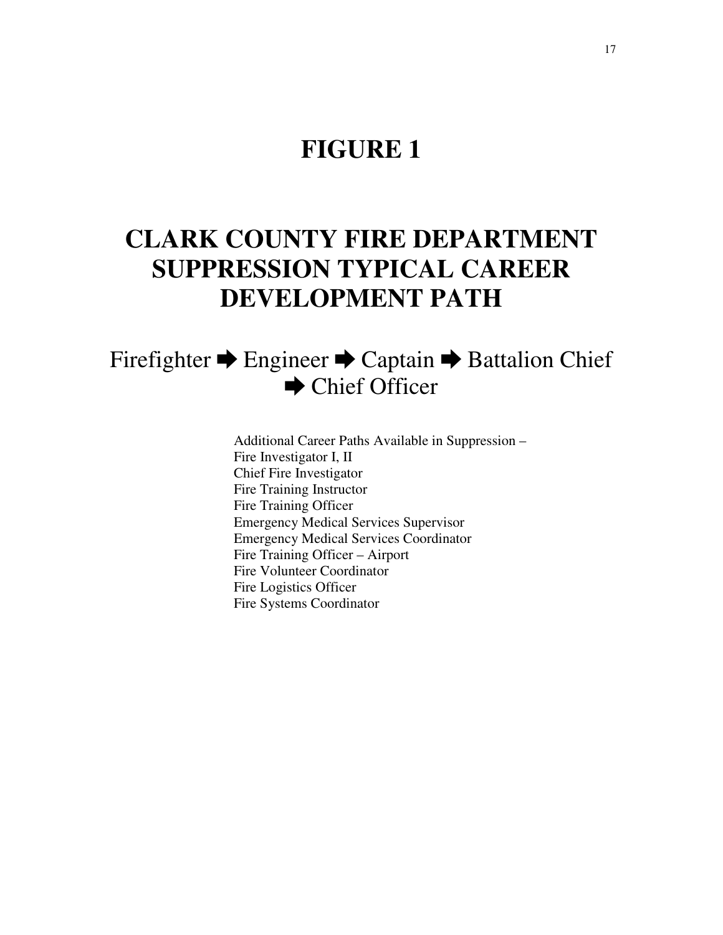### **FIGURE 1**

# **CLARK COUNTY FIRE DEPARTMENT SUPPRESSION TYPICAL CAREER DEVELOPMENT PATH**

### Firefighter ➨ Engineer ➨ Captain ➨ Battalion Chief  $\rightarrow$  Chief Officer

Additional Career Paths Available in Suppression – Fire Investigator I, II Chief Fire Investigator Fire Training Instructor Fire Training Officer Emergency Medical Services Supervisor Emergency Medical Services Coordinator Fire Training Officer – Airport Fire Volunteer Coordinator Fire Logistics Officer Fire Systems Coordinator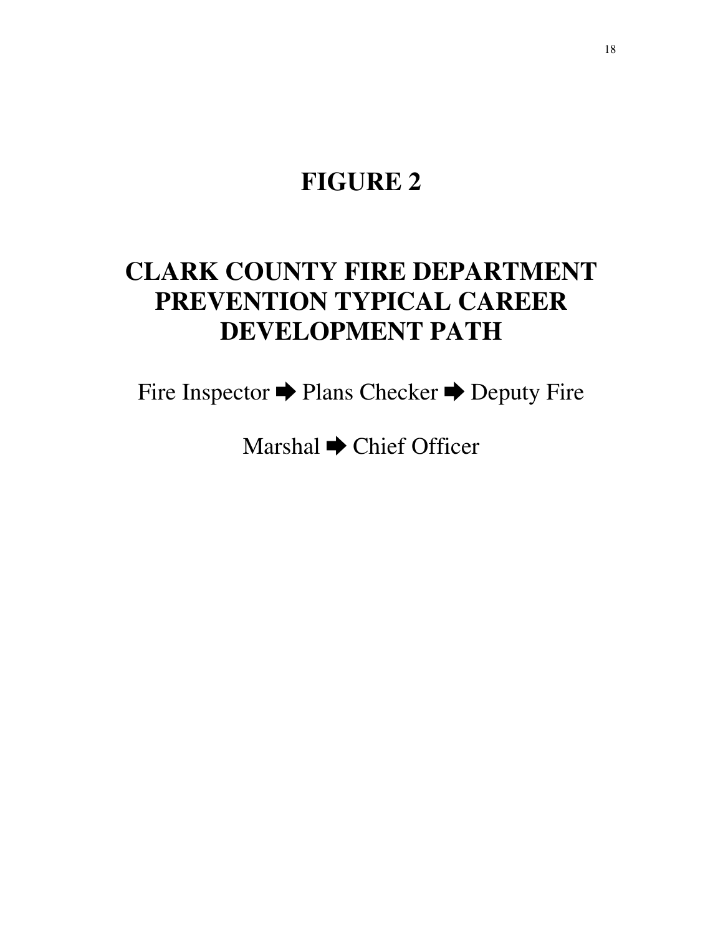# **FIGURE 2**

# **CLARK COUNTY FIRE DEPARTMENT PREVENTION TYPICAL CAREER DEVELOPMENT PATH**

Fire Inspector ➨ Plans Checker ➨ Deputy Fire

Marshal ➨ Chief Officer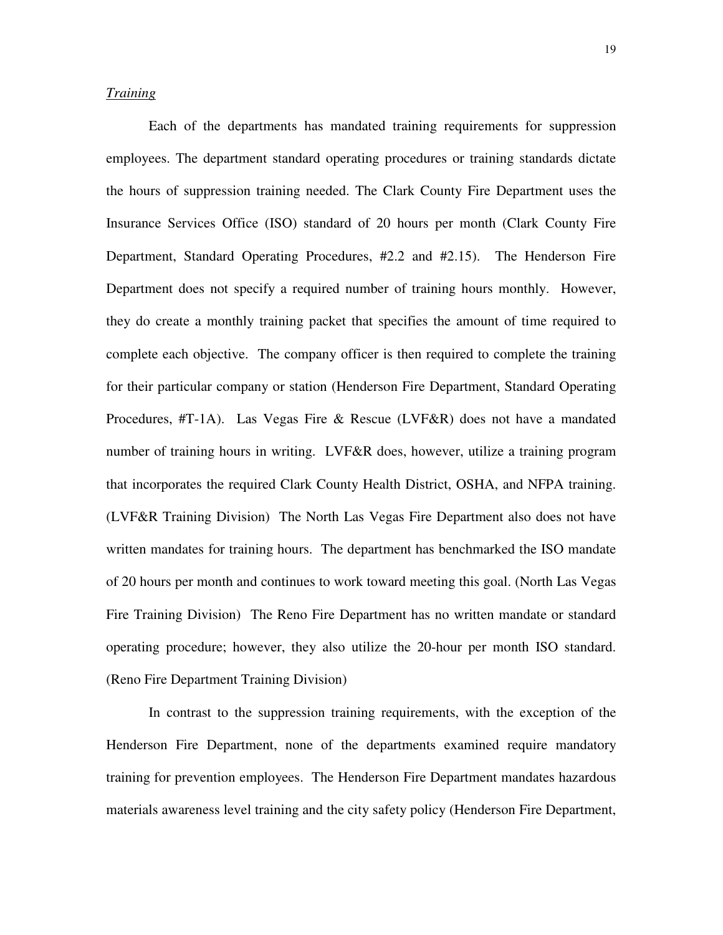#### *Training*

Each of the departments has mandated training requirements for suppression employees. The department standard operating procedures or training standards dictate the hours of suppression training needed. The Clark County Fire Department uses the Insurance Services Office (ISO) standard of 20 hours per month (Clark County Fire Department, Standard Operating Procedures, #2.2 and #2.15). The Henderson Fire Department does not specify a required number of training hours monthly. However, they do create a monthly training packet that specifies the amount of time required to complete each objective. The company officer is then required to complete the training for their particular company or station (Henderson Fire Department, Standard Operating Procedures, #T-1A). Las Vegas Fire & Rescue (LVF&R) does not have a mandated number of training hours in writing. LVF&R does, however, utilize a training program that incorporates the required Clark County Health District, OSHA, and NFPA training. (LVF&R Training Division) The North Las Vegas Fire Department also does not have written mandates for training hours. The department has benchmarked the ISO mandate of 20 hours per month and continues to work toward meeting this goal. (North Las Vegas Fire Training Division) The Reno Fire Department has no written mandate or standard operating procedure; however, they also utilize the 20-hour per month ISO standard. (Reno Fire Department Training Division)

In contrast to the suppression training requirements, with the exception of the Henderson Fire Department, none of the departments examined require mandatory training for prevention employees. The Henderson Fire Department mandates hazardous materials awareness level training and the city safety policy (Henderson Fire Department,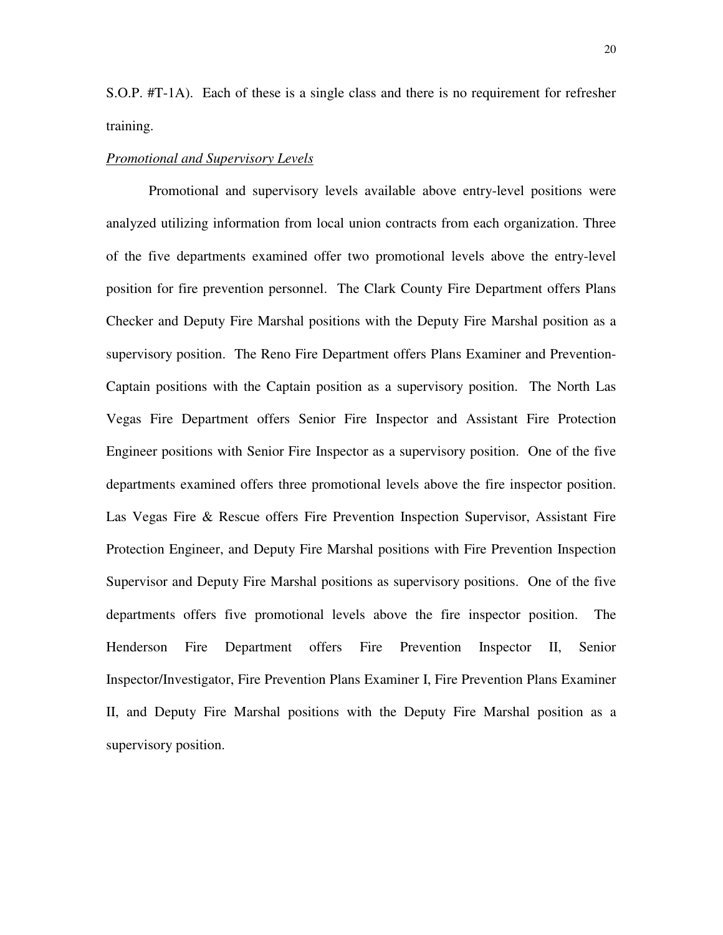S.O.P. #T-1A). Each of these is a single class and there is no requirement for refresher training.

#### *Promotional and Supervisory Levels*

Promotional and supervisory levels available above entry-level positions were analyzed utilizing information from local union contracts from each organization. Three of the five departments examined offer two promotional levels above the entry-level position for fire prevention personnel. The Clark County Fire Department offers Plans Checker and Deputy Fire Marshal positions with the Deputy Fire Marshal position as a supervisory position. The Reno Fire Department offers Plans Examiner and Prevention-Captain positions with the Captain position as a supervisory position. The North Las Vegas Fire Department offers Senior Fire Inspector and Assistant Fire Protection Engineer positions with Senior Fire Inspector as a supervisory position. One of the five departments examined offers three promotional levels above the fire inspector position. Las Vegas Fire & Rescue offers Fire Prevention Inspection Supervisor, Assistant Fire Protection Engineer, and Deputy Fire Marshal positions with Fire Prevention Inspection Supervisor and Deputy Fire Marshal positions as supervisory positions. One of the five departments offers five promotional levels above the fire inspector position. The Henderson Fire Department offers Fire Prevention Inspector II, Senior Inspector/Investigator, Fire Prevention Plans Examiner I, Fire Prevention Plans Examiner II, and Deputy Fire Marshal positions with the Deputy Fire Marshal position as a supervisory position.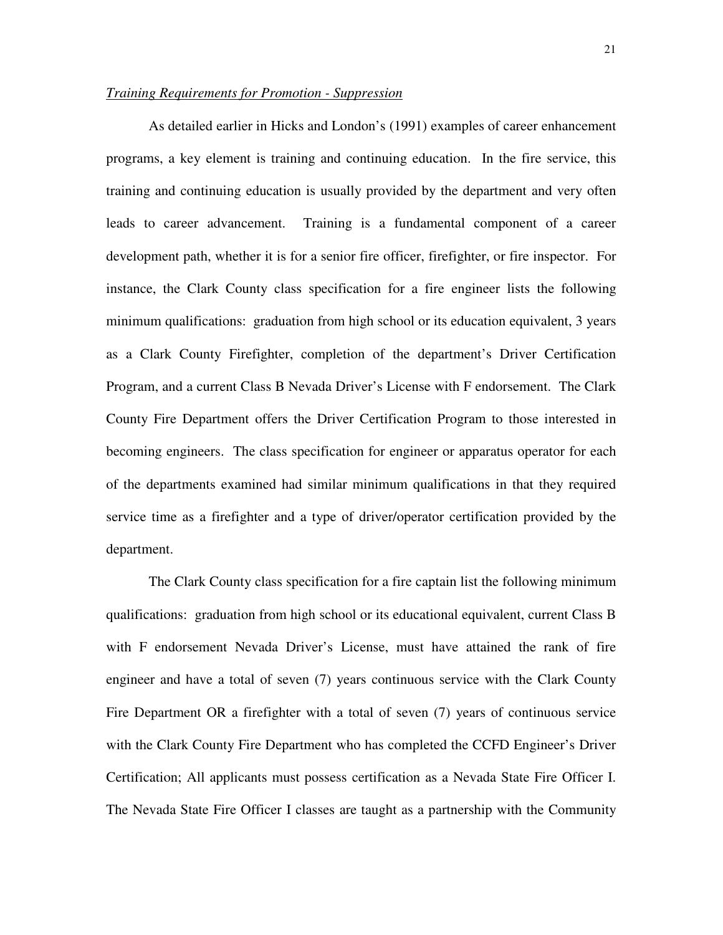#### *Training Requirements for Promotion - Suppression*

As detailed earlier in Hicks and London's (1991) examples of career enhancement programs, a key element is training and continuing education. In the fire service, this training and continuing education is usually provided by the department and very often leads to career advancement. Training is a fundamental component of a career development path, whether it is for a senior fire officer, firefighter, or fire inspector. For instance, the Clark County class specification for a fire engineer lists the following minimum qualifications: graduation from high school or its education equivalent, 3 years as a Clark County Firefighter, completion of the department's Driver Certification Program, and a current Class B Nevada Driver's License with F endorsement. The Clark County Fire Department offers the Driver Certification Program to those interested in becoming engineers. The class specification for engineer or apparatus operator for each of the departments examined had similar minimum qualifications in that they required service time as a firefighter and a type of driver/operator certification provided by the department.

The Clark County class specification for a fire captain list the following minimum qualifications: graduation from high school or its educational equivalent, current Class B with F endorsement Nevada Driver's License, must have attained the rank of fire engineer and have a total of seven (7) years continuous service with the Clark County Fire Department OR a firefighter with a total of seven (7) years of continuous service with the Clark County Fire Department who has completed the CCFD Engineer's Driver Certification; All applicants must possess certification as a Nevada State Fire Officer I. The Nevada State Fire Officer I classes are taught as a partnership with the Community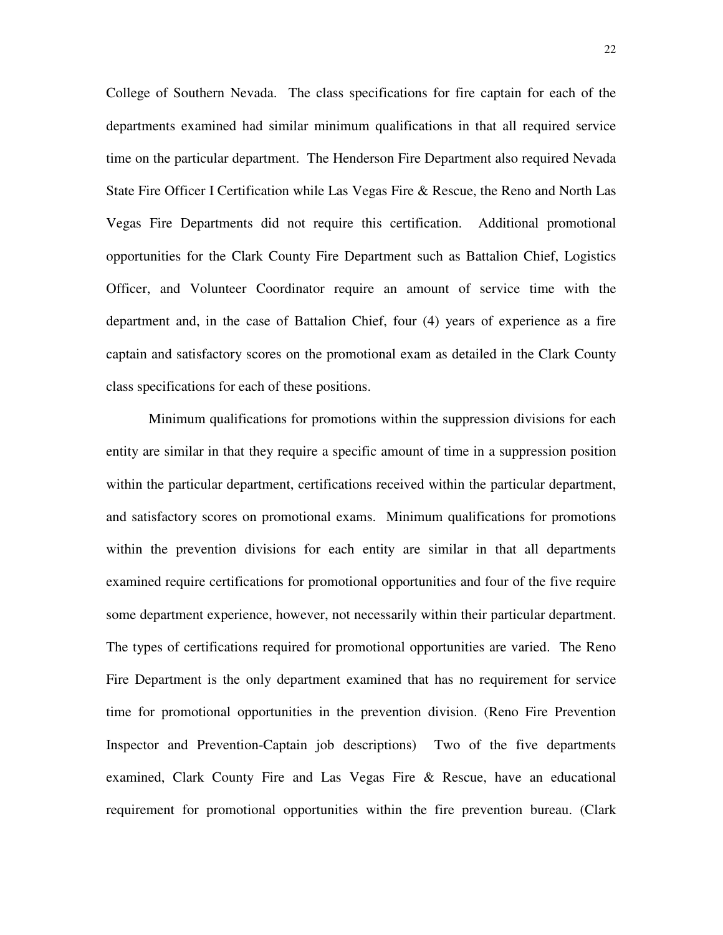College of Southern Nevada. The class specifications for fire captain for each of the departments examined had similar minimum qualifications in that all required service time on the particular department. The Henderson Fire Department also required Nevada State Fire Officer I Certification while Las Vegas Fire & Rescue, the Reno and North Las Vegas Fire Departments did not require this certification. Additional promotional opportunities for the Clark County Fire Department such as Battalion Chief, Logistics Officer, and Volunteer Coordinator require an amount of service time with the department and, in the case of Battalion Chief, four (4) years of experience as a fire captain and satisfactory scores on the promotional exam as detailed in the Clark County class specifications for each of these positions.

Minimum qualifications for promotions within the suppression divisions for each entity are similar in that they require a specific amount of time in a suppression position within the particular department, certifications received within the particular department, and satisfactory scores on promotional exams. Minimum qualifications for promotions within the prevention divisions for each entity are similar in that all departments examined require certifications for promotional opportunities and four of the five require some department experience, however, not necessarily within their particular department. The types of certifications required for promotional opportunities are varied. The Reno Fire Department is the only department examined that has no requirement for service time for promotional opportunities in the prevention division. (Reno Fire Prevention Inspector and Prevention-Captain job descriptions) Two of the five departments examined, Clark County Fire and Las Vegas Fire & Rescue, have an educational requirement for promotional opportunities within the fire prevention bureau. (Clark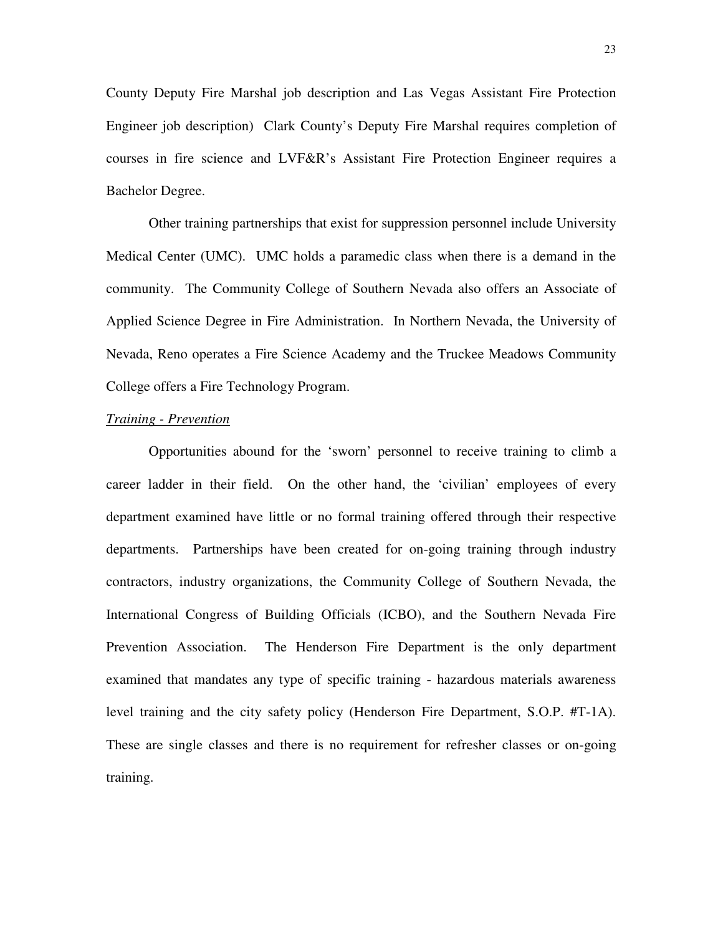County Deputy Fire Marshal job description and Las Vegas Assistant Fire Protection Engineer job description) Clark County's Deputy Fire Marshal requires completion of courses in fire science and LVF&R's Assistant Fire Protection Engineer requires a Bachelor Degree.

Other training partnerships that exist for suppression personnel include University Medical Center (UMC). UMC holds a paramedic class when there is a demand in the community. The Community College of Southern Nevada also offers an Associate of Applied Science Degree in Fire Administration. In Northern Nevada, the University of Nevada, Reno operates a Fire Science Academy and the Truckee Meadows Community College offers a Fire Technology Program.

#### *Training - Prevention*

 Opportunities abound for the 'sworn' personnel to receive training to climb a career ladder in their field. On the other hand, the 'civilian' employees of every department examined have little or no formal training offered through their respective departments. Partnerships have been created for on-going training through industry contractors, industry organizations, the Community College of Southern Nevada, the International Congress of Building Officials (ICBO), and the Southern Nevada Fire Prevention Association. The Henderson Fire Department is the only department examined that mandates any type of specific training - hazardous materials awareness level training and the city safety policy (Henderson Fire Department, S.O.P. #T-1A). These are single classes and there is no requirement for refresher classes or on-going training.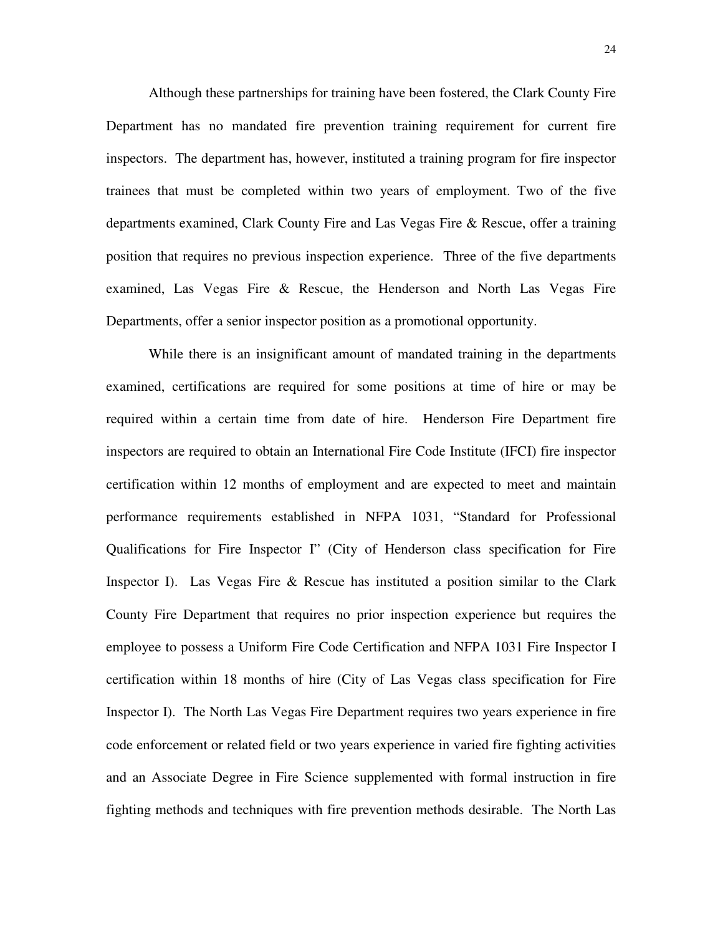Although these partnerships for training have been fostered, the Clark County Fire Department has no mandated fire prevention training requirement for current fire inspectors. The department has, however, instituted a training program for fire inspector trainees that must be completed within two years of employment. Two of the five departments examined, Clark County Fire and Las Vegas Fire & Rescue, offer a training position that requires no previous inspection experience. Three of the five departments examined, Las Vegas Fire & Rescue, the Henderson and North Las Vegas Fire Departments, offer a senior inspector position as a promotional opportunity.

While there is an insignificant amount of mandated training in the departments examined, certifications are required for some positions at time of hire or may be required within a certain time from date of hire. Henderson Fire Department fire inspectors are required to obtain an International Fire Code Institute (IFCI) fire inspector certification within 12 months of employment and are expected to meet and maintain performance requirements established in NFPA 1031, "Standard for Professional Qualifications for Fire Inspector I" (City of Henderson class specification for Fire Inspector I). Las Vegas Fire & Rescue has instituted a position similar to the Clark County Fire Department that requires no prior inspection experience but requires the employee to possess a Uniform Fire Code Certification and NFPA 1031 Fire Inspector I certification within 18 months of hire (City of Las Vegas class specification for Fire Inspector I). The North Las Vegas Fire Department requires two years experience in fire code enforcement or related field or two years experience in varied fire fighting activities and an Associate Degree in Fire Science supplemented with formal instruction in fire fighting methods and techniques with fire prevention methods desirable. The North Las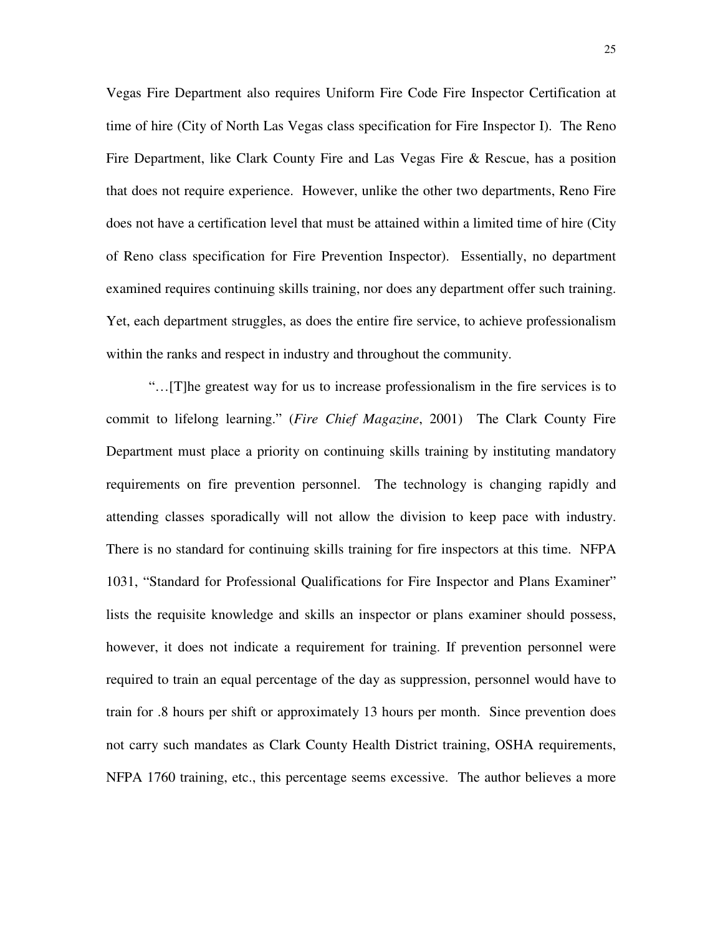Vegas Fire Department also requires Uniform Fire Code Fire Inspector Certification at time of hire (City of North Las Vegas class specification for Fire Inspector I). The Reno Fire Department, like Clark County Fire and Las Vegas Fire & Rescue, has a position that does not require experience. However, unlike the other two departments, Reno Fire does not have a certification level that must be attained within a limited time of hire (City of Reno class specification for Fire Prevention Inspector). Essentially, no department examined requires continuing skills training, nor does any department offer such training. Yet, each department struggles, as does the entire fire service, to achieve professionalism within the ranks and respect in industry and throughout the community.

"…[T]he greatest way for us to increase professionalism in the fire services is to commit to lifelong learning." (*Fire Chief Magazine*, 2001) The Clark County Fire Department must place a priority on continuing skills training by instituting mandatory requirements on fire prevention personnel. The technology is changing rapidly and attending classes sporadically will not allow the division to keep pace with industry. There is no standard for continuing skills training for fire inspectors at this time. NFPA 1031, "Standard for Professional Qualifications for Fire Inspector and Plans Examiner" lists the requisite knowledge and skills an inspector or plans examiner should possess, however, it does not indicate a requirement for training. If prevention personnel were required to train an equal percentage of the day as suppression, personnel would have to train for .8 hours per shift or approximately 13 hours per month. Since prevention does not carry such mandates as Clark County Health District training, OSHA requirements, NFPA 1760 training, etc., this percentage seems excessive. The author believes a more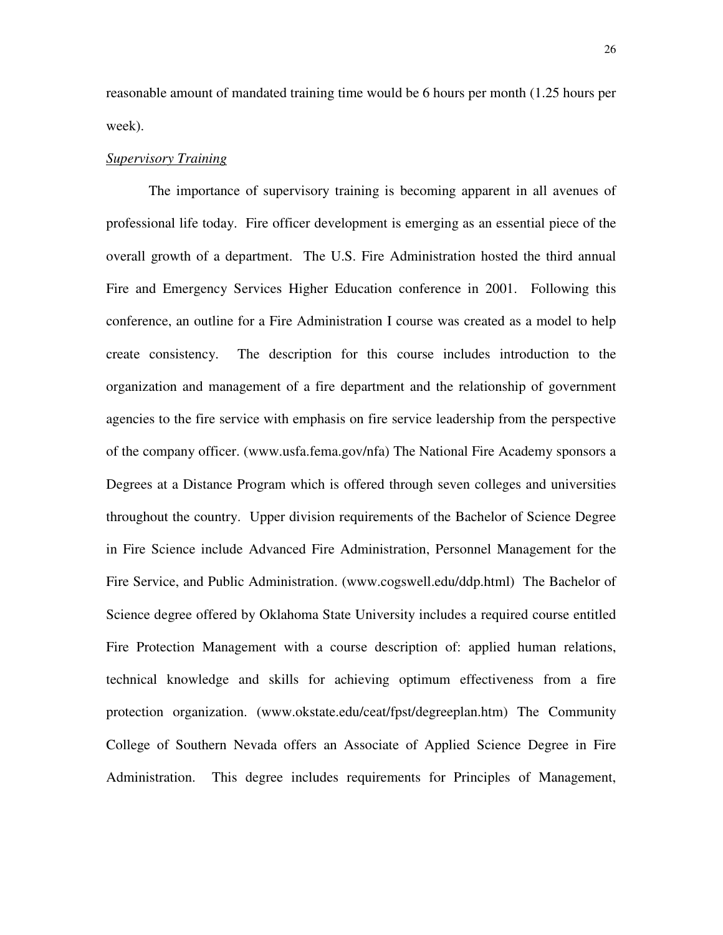reasonable amount of mandated training time would be 6 hours per month (1.25 hours per week).

#### *Supervisory Training*

The importance of supervisory training is becoming apparent in all avenues of professional life today. Fire officer development is emerging as an essential piece of the overall growth of a department. The U.S. Fire Administration hosted the third annual Fire and Emergency Services Higher Education conference in 2001. Following this conference, an outline for a Fire Administration I course was created as a model to help create consistency. The description for this course includes introduction to the organization and management of a fire department and the relationship of government agencies to the fire service with emphasis on fire service leadership from the perspective of the company officer. (www.usfa.fema.gov/nfa) The National Fire Academy sponsors a Degrees at a Distance Program which is offered through seven colleges and universities throughout the country. Upper division requirements of the Bachelor of Science Degree in Fire Science include Advanced Fire Administration, Personnel Management for the Fire Service, and Public Administration. (www.cogswell.edu/ddp.html) The Bachelor of Science degree offered by Oklahoma State University includes a required course entitled Fire Protection Management with a course description of: applied human relations, technical knowledge and skills for achieving optimum effectiveness from a fire protection organization. (www.okstate.edu/ceat/fpst/degreeplan.htm) The Community College of Southern Nevada offers an Associate of Applied Science Degree in Fire Administration. This degree includes requirements for Principles of Management,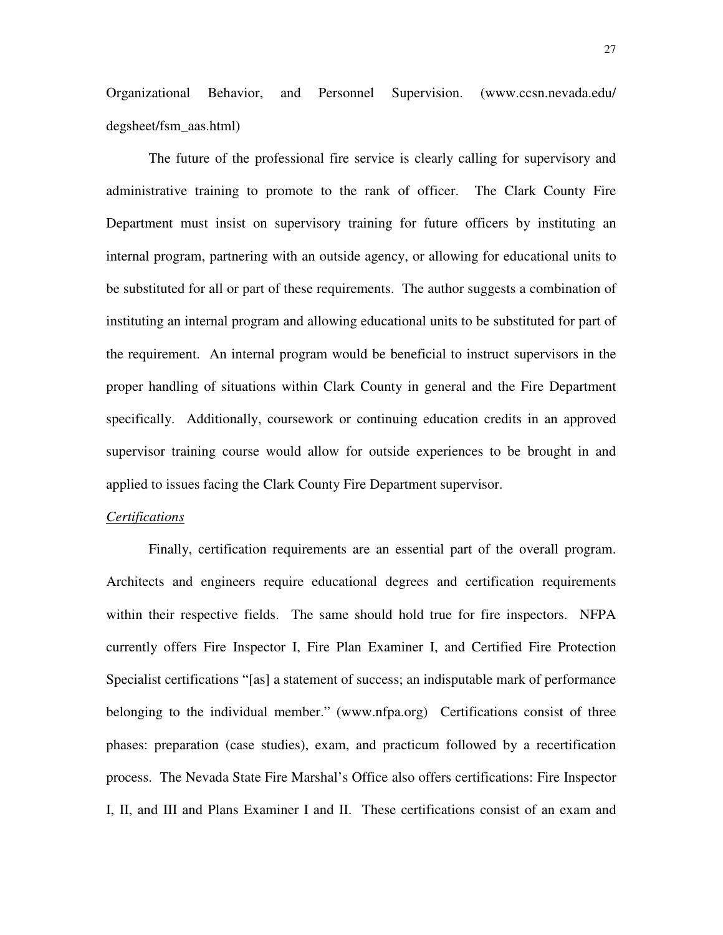Organizational Behavior, and Personnel Supervision. (www.ccsn.nevada.edu/ degsheet/fsm\_aas.html)

The future of the professional fire service is clearly calling for supervisory and administrative training to promote to the rank of officer. The Clark County Fire Department must insist on supervisory training for future officers by instituting an internal program, partnering with an outside agency, or allowing for educational units to be substituted for all or part of these requirements. The author suggests a combination of instituting an internal program and allowing educational units to be substituted for part of the requirement. An internal program would be beneficial to instruct supervisors in the proper handling of situations within Clark County in general and the Fire Department specifically. Additionally, coursework or continuing education credits in an approved supervisor training course would allow for outside experiences to be brought in and applied to issues facing the Clark County Fire Department supervisor.

#### *Certifications*

Finally, certification requirements are an essential part of the overall program. Architects and engineers require educational degrees and certification requirements within their respective fields. The same should hold true for fire inspectors. NFPA currently offers Fire Inspector I, Fire Plan Examiner I, and Certified Fire Protection Specialist certifications "[as] a statement of success; an indisputable mark of performance belonging to the individual member." (www.nfpa.org) Certifications consist of three phases: preparation (case studies), exam, and practicum followed by a recertification process. The Nevada State Fire Marshal's Office also offers certifications: Fire Inspector I, II, and III and Plans Examiner I and II. These certifications consist of an exam and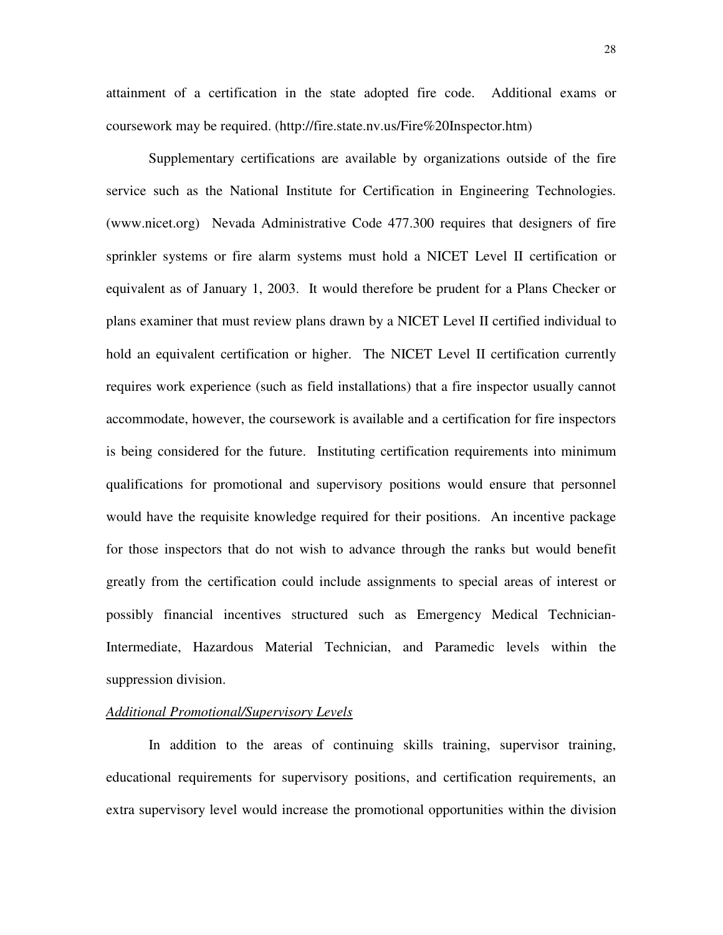attainment of a certification in the state adopted fire code. Additional exams or coursework may be required. (http://fire.state.nv.us/Fire%20Inspector.htm)

Supplementary certifications are available by organizations outside of the fire service such as the National Institute for Certification in Engineering Technologies. (www.nicet.org) Nevada Administrative Code 477.300 requires that designers of fire sprinkler systems or fire alarm systems must hold a NICET Level II certification or equivalent as of January 1, 2003. It would therefore be prudent for a Plans Checker or plans examiner that must review plans drawn by a NICET Level II certified individual to hold an equivalent certification or higher. The NICET Level II certification currently requires work experience (such as field installations) that a fire inspector usually cannot accommodate, however, the coursework is available and a certification for fire inspectors is being considered for the future. Instituting certification requirements into minimum qualifications for promotional and supervisory positions would ensure that personnel would have the requisite knowledge required for their positions. An incentive package for those inspectors that do not wish to advance through the ranks but would benefit greatly from the certification could include assignments to special areas of interest or possibly financial incentives structured such as Emergency Medical Technician-Intermediate, Hazardous Material Technician, and Paramedic levels within the suppression division.

#### *Additional Promotional/Supervisory Levels*

In addition to the areas of continuing skills training, supervisor training, educational requirements for supervisory positions, and certification requirements, an extra supervisory level would increase the promotional opportunities within the division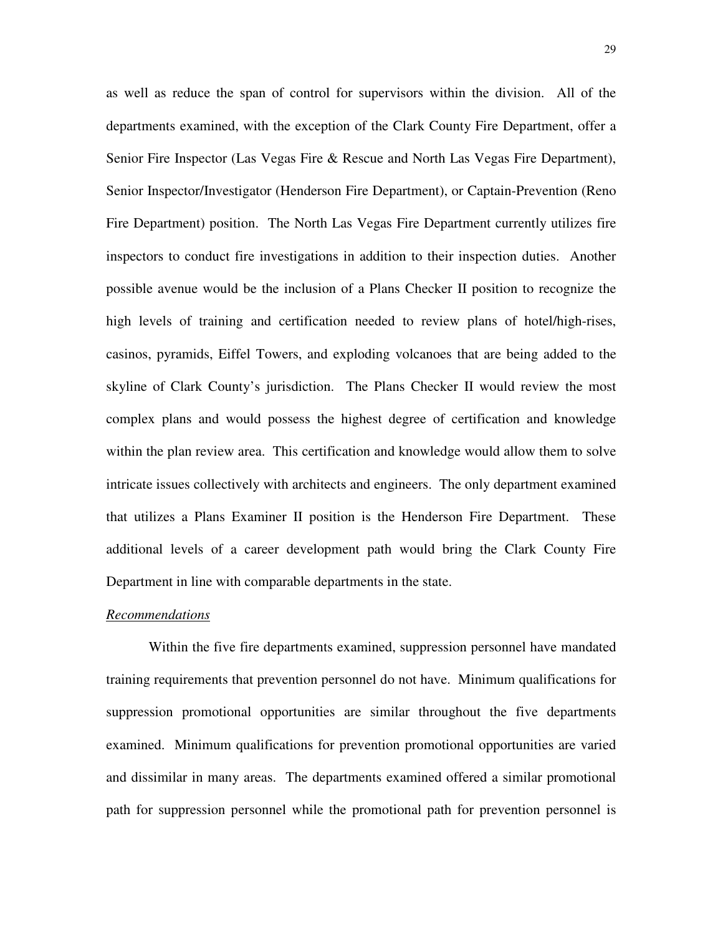as well as reduce the span of control for supervisors within the division. All of the departments examined, with the exception of the Clark County Fire Department, offer a Senior Fire Inspector (Las Vegas Fire & Rescue and North Las Vegas Fire Department), Senior Inspector/Investigator (Henderson Fire Department), or Captain-Prevention (Reno Fire Department) position. The North Las Vegas Fire Department currently utilizes fire inspectors to conduct fire investigations in addition to their inspection duties. Another possible avenue would be the inclusion of a Plans Checker II position to recognize the high levels of training and certification needed to review plans of hotel/high-rises, casinos, pyramids, Eiffel Towers, and exploding volcanoes that are being added to the skyline of Clark County's jurisdiction. The Plans Checker II would review the most complex plans and would possess the highest degree of certification and knowledge within the plan review area. This certification and knowledge would allow them to solve intricate issues collectively with architects and engineers. The only department examined that utilizes a Plans Examiner II position is the Henderson Fire Department. These additional levels of a career development path would bring the Clark County Fire Department in line with comparable departments in the state.

#### *Recommendations*

Within the five fire departments examined, suppression personnel have mandated training requirements that prevention personnel do not have. Minimum qualifications for suppression promotional opportunities are similar throughout the five departments examined. Minimum qualifications for prevention promotional opportunities are varied and dissimilar in many areas. The departments examined offered a similar promotional path for suppression personnel while the promotional path for prevention personnel is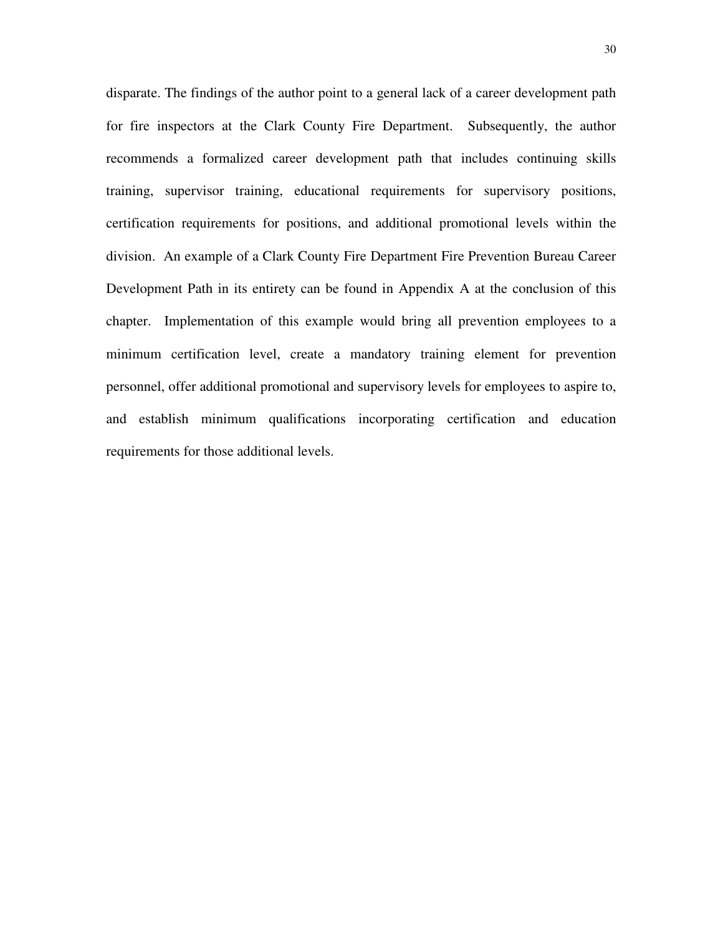disparate. The findings of the author point to a general lack of a career development path for fire inspectors at the Clark County Fire Department. Subsequently, the author recommends a formalized career development path that includes continuing skills training, supervisor training, educational requirements for supervisory positions, certification requirements for positions, and additional promotional levels within the division. An example of a Clark County Fire Department Fire Prevention Bureau Career Development Path in its entirety can be found in Appendix A at the conclusion of this chapter. Implementation of this example would bring all prevention employees to a minimum certification level, create a mandatory training element for prevention personnel, offer additional promotional and supervisory levels for employees to aspire to, and establish minimum qualifications incorporating certification and education requirements for those additional levels.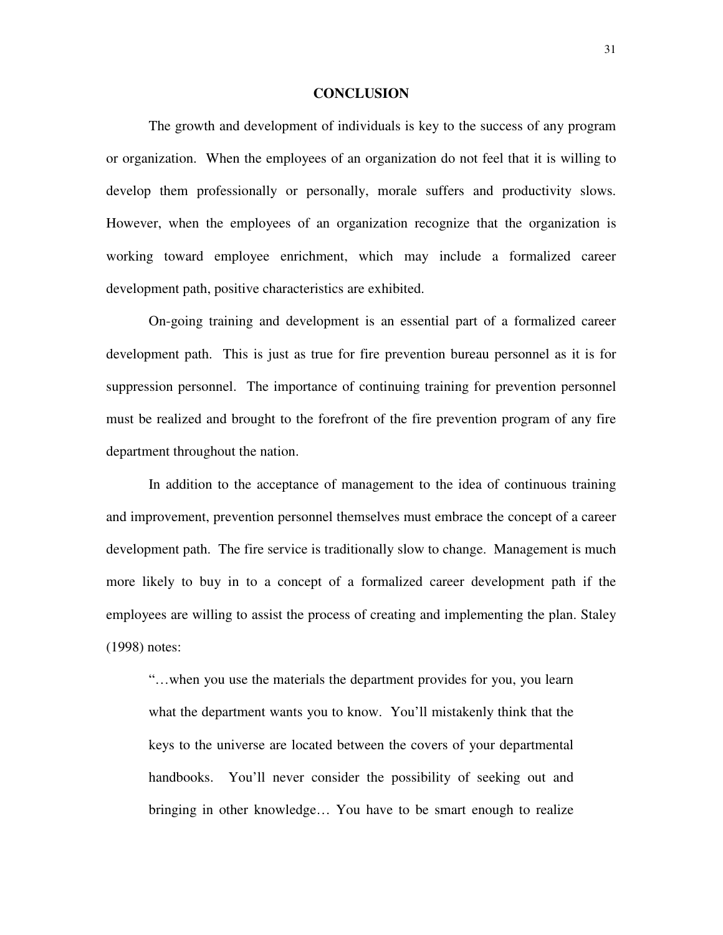#### **CONCLUSION**

 The growth and development of individuals is key to the success of any program or organization. When the employees of an organization do not feel that it is willing to develop them professionally or personally, morale suffers and productivity slows. However, when the employees of an organization recognize that the organization is working toward employee enrichment, which may include a formalized career development path, positive characteristics are exhibited.

 On-going training and development is an essential part of a formalized career development path. This is just as true for fire prevention bureau personnel as it is for suppression personnel. The importance of continuing training for prevention personnel must be realized and brought to the forefront of the fire prevention program of any fire department throughout the nation.

 In addition to the acceptance of management to the idea of continuous training and improvement, prevention personnel themselves must embrace the concept of a career development path. The fire service is traditionally slow to change. Management is much more likely to buy in to a concept of a formalized career development path if the employees are willing to assist the process of creating and implementing the plan. Staley (1998) notes:

"…when you use the materials the department provides for you, you learn what the department wants you to know. You'll mistakenly think that the keys to the universe are located between the covers of your departmental handbooks. You'll never consider the possibility of seeking out and bringing in other knowledge… You have to be smart enough to realize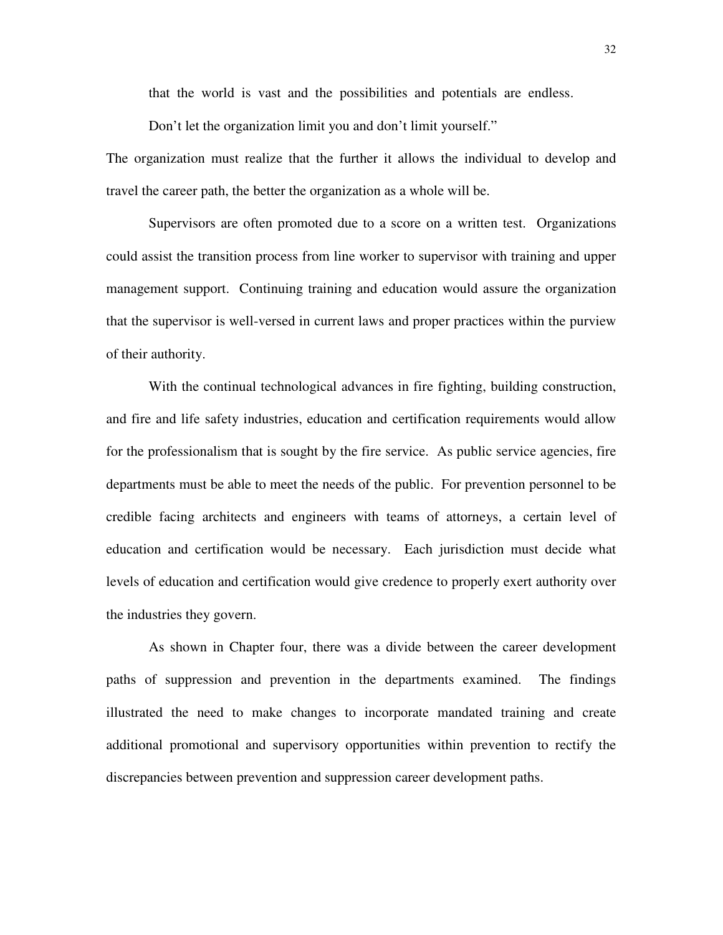that the world is vast and the possibilities and potentials are endless.

Don't let the organization limit you and don't limit yourself."

The organization must realize that the further it allows the individual to develop and travel the career path, the better the organization as a whole will be.

Supervisors are often promoted due to a score on a written test. Organizations could assist the transition process from line worker to supervisor with training and upper management support. Continuing training and education would assure the organization that the supervisor is well-versed in current laws and proper practices within the purview of their authority.

 With the continual technological advances in fire fighting, building construction, and fire and life safety industries, education and certification requirements would allow for the professionalism that is sought by the fire service. As public service agencies, fire departments must be able to meet the needs of the public. For prevention personnel to be credible facing architects and engineers with teams of attorneys, a certain level of education and certification would be necessary. Each jurisdiction must decide what levels of education and certification would give credence to properly exert authority over the industries they govern.

 As shown in Chapter four, there was a divide between the career development paths of suppression and prevention in the departments examined. The findings illustrated the need to make changes to incorporate mandated training and create additional promotional and supervisory opportunities within prevention to rectify the discrepancies between prevention and suppression career development paths.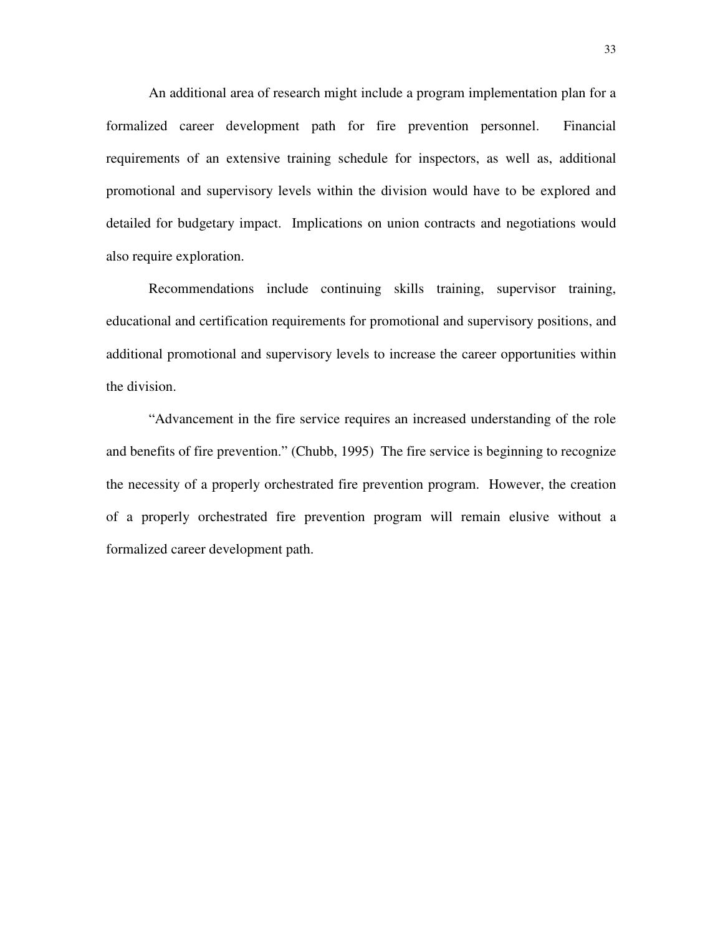An additional area of research might include a program implementation plan for a formalized career development path for fire prevention personnel. Financial requirements of an extensive training schedule for inspectors, as well as, additional promotional and supervisory levels within the division would have to be explored and detailed for budgetary impact. Implications on union contracts and negotiations would also require exploration.

Recommendations include continuing skills training, supervisor training, educational and certification requirements for promotional and supervisory positions, and additional promotional and supervisory levels to increase the career opportunities within the division.

"Advancement in the fire service requires an increased understanding of the role and benefits of fire prevention." (Chubb, 1995) The fire service is beginning to recognize the necessity of a properly orchestrated fire prevention program. However, the creation of a properly orchestrated fire prevention program will remain elusive without a formalized career development path.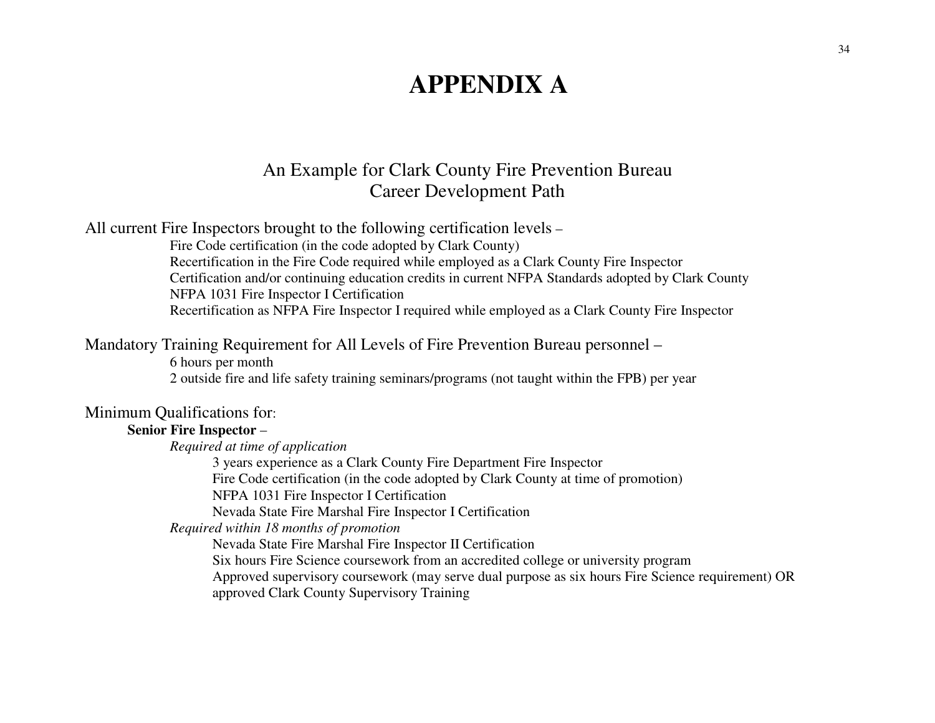# **APPENDIX A**

### An Example for Clark County Fire Prevention Bureau Career Development Path

All current Fire Inspectors brought to the following certification levels –

 Fire Code certification (in the code adopted by Clark County) Recertification in the Fire Code required while employed as a Clark County Fire Inspector Certification and/or continuing education credits in current NFPA Standards adopted by Clark County NFPA 1031 Fire Inspector I Certification Recertification as NFPA Fire Inspector I required while employed as a Clark County Fire Inspector

### Mandatory Training Requirement for All Levels of Fire Prevention Bureau personnel –

6 hours per month

2 outside fire and life safety training seminars/programs (not taught within the FPB) per year

### Minimum Qualifications for:

#### **Senior Fire Inspector** –

*Required at time of application* 

 3 years experience as a Clark County Fire Department Fire Inspector Fire Code certification (in the code adopted by Clark County at time of promotion) NFPA 1031 Fire Inspector I Certification

Nevada State Fire Marshal Fire Inspector I Certification

*Required within 18 months of promotion* 

Nevada State Fire Marshal Fire Inspector II Certification

Six hours Fire Science coursework from an accredited college or university program

Approved supervisory coursework (may serve dual purpose as six hours Fire Science requirement) OR

approved Clark County Supervisory Training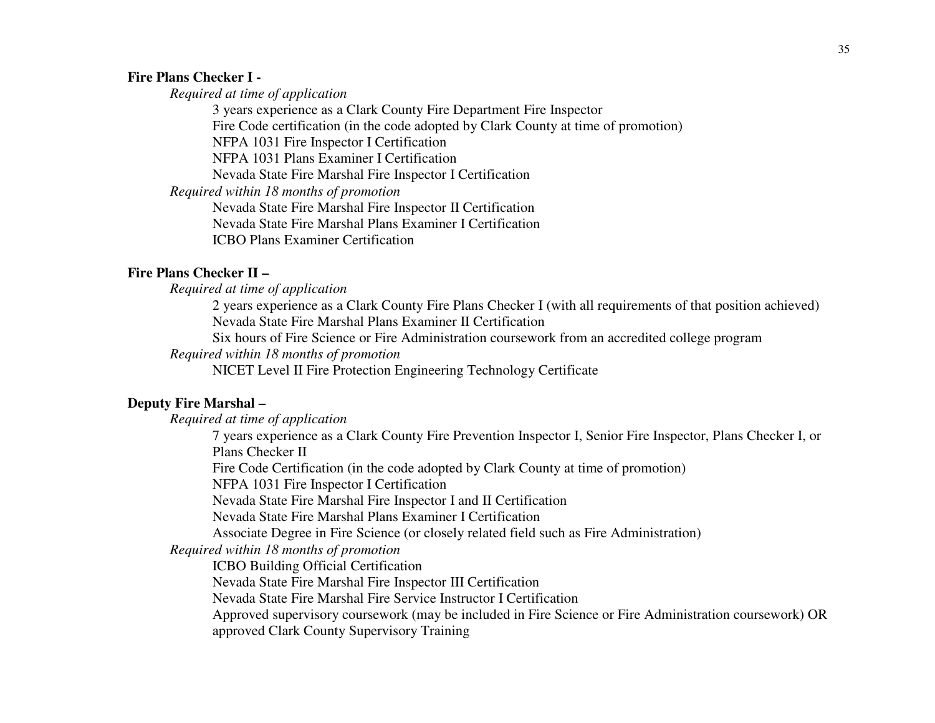#### **Fire Plans Checker I -**

*Required at time of application* 

3 years experience as a Clark County Fire Department Fire Inspector Fire Code certification (in the code adopted by Clark County at time of promotion) NFPA 1031 Fire Inspector I Certification NFPA 1031 Plans Examiner I Certification Nevada State Fire Marshal Fire Inspector I Certification *Required within 18 months of promotion*  Nevada State Fire Marshal Fire Inspector II Certification Nevada State Fire Marshal Plans Examiner I Certification ICBO Plans Examiner Certification

#### **Fire Plans Checker II –**

*Required at time of application* 

 2 years experience as a Clark County Fire Plans Checker I (with all requirements of that position achieved) Nevada State Fire Marshal Plans Examiner II Certification

Six hours of Fire Science or Fire Administration coursework from an accredited college program

*Required within 18 months of promotion* 

NICET Level II Fire Protection Engineering Technology Certificate

#### **Deputy Fire Marshal –**

*Required at time of application* 

7 years experience as a Clark County Fire Prevention Inspector I, Senior Fire Inspector, Plans Checker I, or Plans Checker II

Fire Code Certification (in the code adopted by Clark County at time of promotion)

NFPA 1031 Fire Inspector I Certification

Nevada State Fire Marshal Fire Inspector I and II Certification

Nevada State Fire Marshal Plans Examiner I Certification

Associate Degree in Fire Science (or closely related field such as Fire Administration)

*Required within 18 months of promotion*

ICBO Building Official Certification

Nevada State Fire Marshal Fire Inspector III Certification

Nevada State Fire Marshal Fire Service Instructor I Certification

Approved supervisory coursework (may be included in Fire Science or Fire Administration coursework) OR approved Clark County Supervisory Training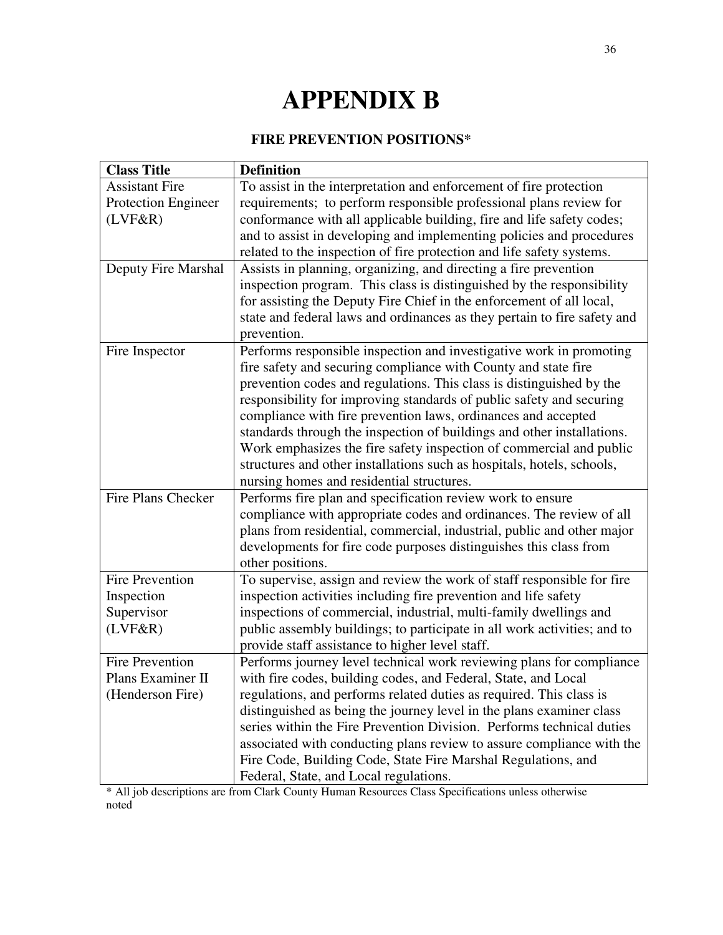# **APPENDIX B**

### **FIRE PREVENTION POSITIONS\***

| <b>Class Title</b>         | <b>Definition</b>                                                        |
|----------------------------|--------------------------------------------------------------------------|
| <b>Assistant Fire</b>      | To assist in the interpretation and enforcement of fire protection       |
| <b>Protection Engineer</b> | requirements; to perform responsible professional plans review for       |
| (LVF&R)                    | conformance with all applicable building, fire and life safety codes;    |
|                            | and to assist in developing and implementing policies and procedures     |
|                            | related to the inspection of fire protection and life safety systems.    |
| Deputy Fire Marshal        | Assists in planning, organizing, and directing a fire prevention         |
|                            | inspection program. This class is distinguished by the responsibility    |
|                            | for assisting the Deputy Fire Chief in the enforcement of all local,     |
|                            | state and federal laws and ordinances as they pertain to fire safety and |
|                            | prevention.                                                              |
| Fire Inspector             | Performs responsible inspection and investigative work in promoting      |
|                            | fire safety and securing compliance with County and state fire           |
|                            | prevention codes and regulations. This class is distinguished by the     |
|                            | responsibility for improving standards of public safety and securing     |
|                            | compliance with fire prevention laws, ordinances and accepted            |
|                            | standards through the inspection of buildings and other installations.   |
|                            | Work emphasizes the fire safety inspection of commercial and public      |
|                            | structures and other installations such as hospitals, hotels, schools,   |
|                            | nursing homes and residential structures.                                |
| Fire Plans Checker         | Performs fire plan and specification review work to ensure               |
|                            | compliance with appropriate codes and ordinances. The review of all      |
|                            | plans from residential, commercial, industrial, public and other major   |
|                            | developments for fire code purposes distinguishes this class from        |
|                            | other positions.                                                         |
| <b>Fire Prevention</b>     | To supervise, assign and review the work of staff responsible for fire   |
| Inspection                 | inspection activities including fire prevention and life safety          |
| Supervisor                 | inspections of commercial, industrial, multi-family dwellings and        |
| (LVF&R)                    | public assembly buildings; to participate in all work activities; and to |
|                            | provide staff assistance to higher level staff.                          |
| <b>Fire Prevention</b>     | Performs journey level technical work reviewing plans for compliance     |
| Plans Examiner II          | with fire codes, building codes, and Federal, State, and Local           |
| (Henderson Fire)           | regulations, and performs related duties as required. This class is      |
|                            | distinguished as being the journey level in the plans examiner class     |
|                            | series within the Fire Prevention Division. Performs technical duties    |
|                            | associated with conducting plans review to assure compliance with the    |
|                            | Fire Code, Building Code, State Fire Marshal Regulations, and            |
|                            | Federal, State, and Local regulations.                                   |

\* All job descriptions are from Clark County Human Resources Class Specifications unless otherwise noted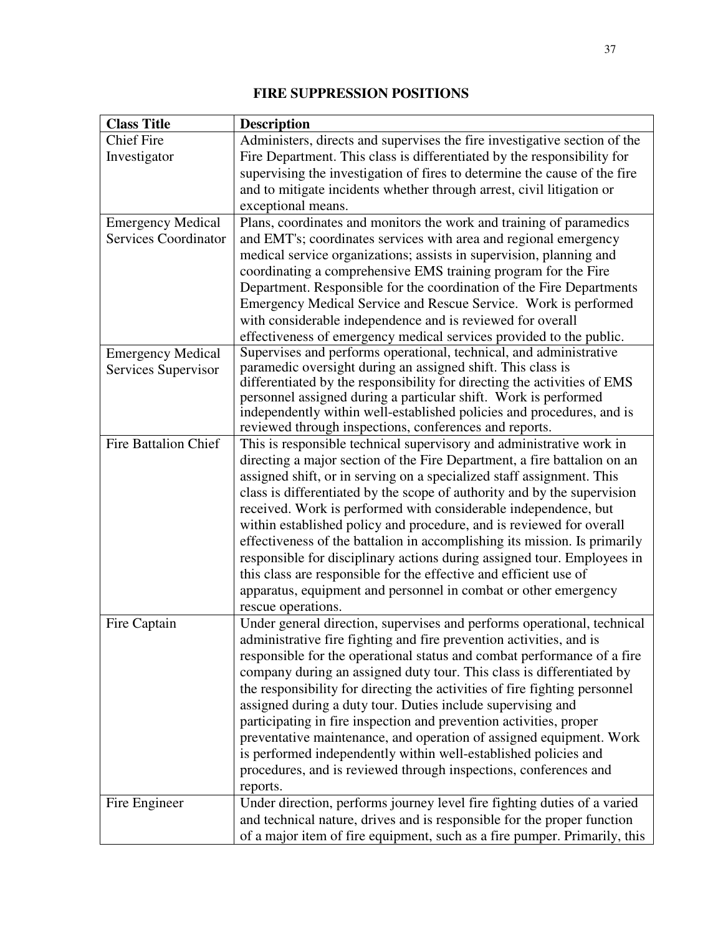### **FIRE SUPPRESSION POSITIONS**

| <b>Class Title</b>          | <b>Description</b>                                                         |
|-----------------------------|----------------------------------------------------------------------------|
| <b>Chief Fire</b>           | Administers, directs and supervises the fire investigative section of the  |
| Investigator                | Fire Department. This class is differentiated by the responsibility for    |
|                             | supervising the investigation of fires to determine the cause of the fire  |
|                             | and to mitigate incidents whether through arrest, civil litigation or      |
|                             | exceptional means.                                                         |
| <b>Emergency Medical</b>    | Plans, coordinates and monitors the work and training of paramedics        |
| <b>Services Coordinator</b> | and EMT's; coordinates services with area and regional emergency           |
|                             | medical service organizations; assists in supervision, planning and        |
|                             | coordinating a comprehensive EMS training program for the Fire             |
|                             | Department. Responsible for the coordination of the Fire Departments       |
|                             | Emergency Medical Service and Rescue Service. Work is performed            |
|                             | with considerable independence and is reviewed for overall                 |
|                             | effectiveness of emergency medical services provided to the public.        |
| <b>Emergency Medical</b>    | Supervises and performs operational, technical, and administrative         |
| Services Supervisor         | paramedic oversight during an assigned shift. This class is                |
|                             | differentiated by the responsibility for directing the activities of EMS   |
|                             | personnel assigned during a particular shift. Work is performed            |
|                             | independently within well-established policies and procedures, and is      |
|                             | reviewed through inspections, conferences and reports.                     |
| <b>Fire Battalion Chief</b> | This is responsible technical supervisory and administrative work in       |
|                             | directing a major section of the Fire Department, a fire battalion on an   |
|                             | assigned shift, or in serving on a specialized staff assignment. This      |
|                             | class is differentiated by the scope of authority and by the supervision   |
|                             | received. Work is performed with considerable independence, but            |
|                             | within established policy and procedure, and is reviewed for overall       |
|                             | effectiveness of the battalion in accomplishing its mission. Is primarily  |
|                             | responsible for disciplinary actions during assigned tour. Employees in    |
|                             | this class are responsible for the effective and efficient use of          |
|                             | apparatus, equipment and personnel in combat or other emergency            |
|                             | rescue operations.                                                         |
| Fire Captain                | Under general direction, supervises and performs operational, technical    |
|                             | administrative fire fighting and fire prevention activities, and is        |
|                             | responsible for the operational status and combat performance of a fire    |
|                             | company during an assigned duty tour. This class is differentiated by      |
|                             | the responsibility for directing the activities of fire fighting personnel |
|                             | assigned during a duty tour. Duties include supervising and                |
|                             | participating in fire inspection and prevention activities, proper         |
|                             | preventative maintenance, and operation of assigned equipment. Work        |
|                             | is performed independently within well-established policies and            |
|                             | procedures, and is reviewed through inspections, conferences and           |
|                             | reports.                                                                   |
| Fire Engineer               | Under direction, performs journey level fire fighting duties of a varied   |
|                             | and technical nature, drives and is responsible for the proper function    |
|                             | of a major item of fire equipment, such as a fire pumper. Primarily, this  |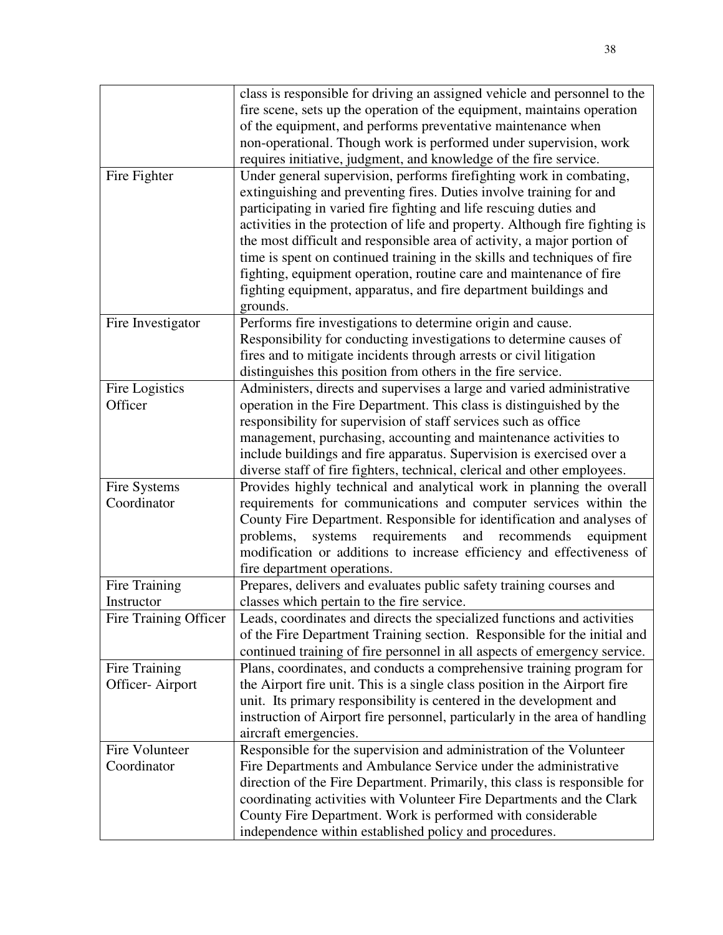|                       | class is responsible for driving an assigned vehicle and personnel to the    |
|-----------------------|------------------------------------------------------------------------------|
|                       | fire scene, sets up the operation of the equipment, maintains operation      |
|                       | of the equipment, and performs preventative maintenance when                 |
|                       | non-operational. Though work is performed under supervision, work            |
|                       | requires initiative, judgment, and knowledge of the fire service.            |
| Fire Fighter          | Under general supervision, performs firefighting work in combating,          |
|                       | extinguishing and preventing fires. Duties involve training for and          |
|                       |                                                                              |
|                       | participating in varied fire fighting and life rescuing duties and           |
|                       | activities in the protection of life and property. Although fire fighting is |
|                       | the most difficult and responsible area of activity, a major portion of      |
|                       | time is spent on continued training in the skills and techniques of fire     |
|                       | fighting, equipment operation, routine care and maintenance of fire          |
|                       | fighting equipment, apparatus, and fire department buildings and             |
|                       | grounds.                                                                     |
| Fire Investigator     | Performs fire investigations to determine origin and cause.                  |
|                       | Responsibility for conducting investigations to determine causes of          |
|                       | fires and to mitigate incidents through arrests or civil litigation          |
|                       | distinguishes this position from others in the fire service.                 |
| Fire Logistics        | Administers, directs and supervises a large and varied administrative        |
| Officer               | operation in the Fire Department. This class is distinguished by the         |
|                       | responsibility for supervision of staff services such as office              |
|                       | management, purchasing, accounting and maintenance activities to             |
|                       | include buildings and fire apparatus. Supervision is exercised over a        |
|                       | diverse staff of fire fighters, technical, clerical and other employees.     |
| Fire Systems          | Provides highly technical and analytical work in planning the overall        |
| Coordinator           | requirements for communications and computer services within the             |
|                       | County Fire Department. Responsible for identification and analyses of       |
|                       | requirements<br>and<br>problems,<br>systems<br>recommends<br>equipment       |
|                       | modification or additions to increase efficiency and effectiveness of        |
|                       | fire department operations.                                                  |
|                       |                                                                              |
| Fire Training         | Prepares, delivers and evaluates public safety training courses and          |
| Instructor            | classes which pertain to the fire service.                                   |
| Fire Training Officer | Leads, coordinates and directs the specialized functions and activities      |
|                       | of the Fire Department Training section. Responsible for the initial and     |
|                       | continued training of fire personnel in all aspects of emergency service.    |
| Fire Training         | Plans, coordinates, and conducts a comprehensive training program for        |
| Officer-Airport       | the Airport fire unit. This is a single class position in the Airport fire   |
|                       | unit. Its primary responsibility is centered in the development and          |
|                       | instruction of Airport fire personnel, particularly in the area of handling  |
|                       | aircraft emergencies.                                                        |
| Fire Volunteer        | Responsible for the supervision and administration of the Volunteer          |
| Coordinator           | Fire Departments and Ambulance Service under the administrative              |
|                       | direction of the Fire Department. Primarily, this class is responsible for   |
|                       | coordinating activities with Volunteer Fire Departments and the Clark        |
|                       | County Fire Department. Work is performed with considerable                  |
|                       | independence within established policy and procedures.                       |
|                       |                                                                              |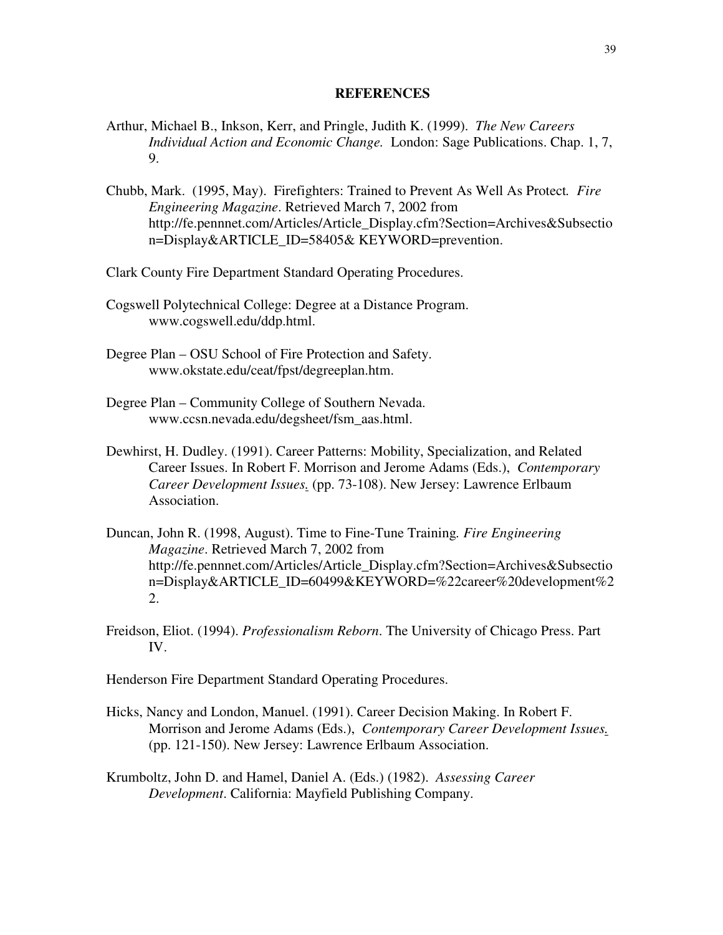#### **REFERENCES**

- Arthur, Michael B., Inkson, Kerr, and Pringle, Judith K. (1999). *The New Careers Individual Action and Economic Change.* London: Sage Publications. Chap. 1, 7, 9.
- Chubb, Mark. (1995, May). Firefighters: Trained to Prevent As Well As Protect*. Fire Engineering Magazine*. Retrieved March 7, 2002 from http://fe.pennnet.com/Articles/Article\_Display.cfm?Section=Archives&Subsectio n=Display&ARTICLE\_ID=58405& KEYWORD=prevention.
- Clark County Fire Department Standard Operating Procedures.
- Cogswell Polytechnical College: Degree at a Distance Program. www.cogswell.edu/ddp.html.
- Degree Plan OSU School of Fire Protection and Safety. www.okstate.edu/ceat/fpst/degreeplan.htm.
- Degree Plan Community College of Southern Nevada. www.ccsn.nevada.edu/degsheet/fsm\_aas.html.
- Dewhirst, H. Dudley. (1991). Career Patterns: Mobility, Specialization, and Related Career Issues. In Robert F. Morrison and Jerome Adams (Eds.), *Contemporary Career Development Issues.* (pp. 73-108). New Jersey: Lawrence Erlbaum Association.
- Duncan, John R. (1998, August). Time to Fine-Tune Training*. Fire Engineering Magazine*. Retrieved March 7, 2002 from http://fe.pennnet.com/Articles/Article\_Display.cfm?Section=Archives&Subsectio n=Display&ARTICLE\_ID=60499&KEYWORD=%22career%20development%2 2.
- Freidson, Eliot. (1994). *Professionalism Reborn*. The University of Chicago Press. Part IV.

Henderson Fire Department Standard Operating Procedures.

- Hicks, Nancy and London, Manuel. (1991). Career Decision Making. In Robert F. Morrison and Jerome Adams (Eds.), *Contemporary Career Development Issues.* (pp. 121-150). New Jersey: Lawrence Erlbaum Association.
- Krumboltz, John D. and Hamel, Daniel A. (Eds.) (1982). *Assessing Career Development*. California: Mayfield Publishing Company.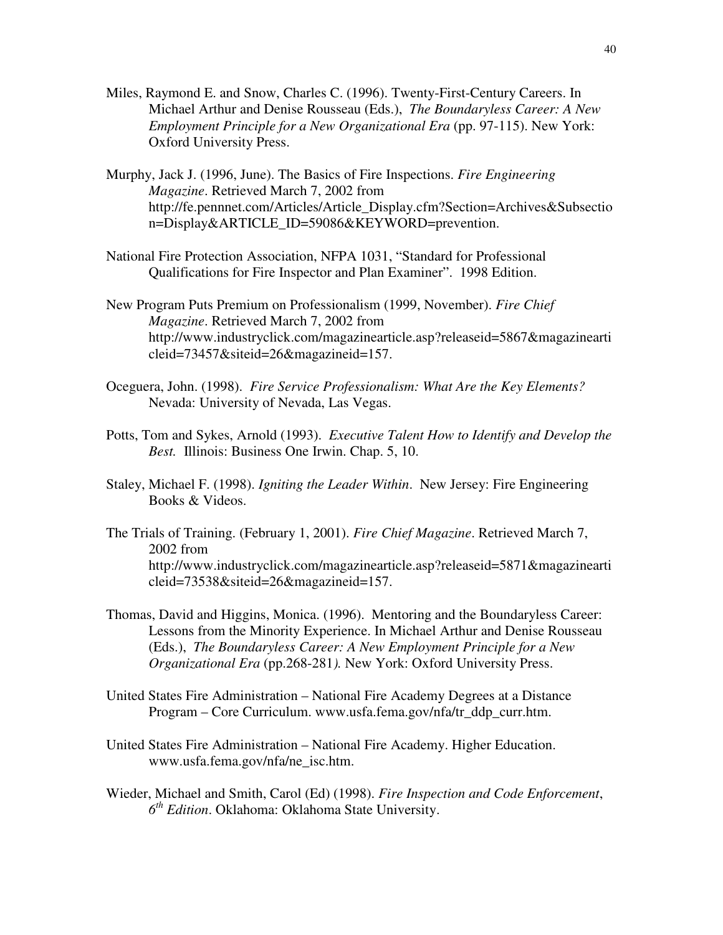- Miles, Raymond E. and Snow, Charles C. (1996). Twenty-First-Century Careers. In Michael Arthur and Denise Rousseau (Eds.), *The Boundaryless Career: A New Employment Principle for a New Organizational Era (pp. 97-115). New York:* Oxford University Press.
- Murphy, Jack J. (1996, June). The Basics of Fire Inspections. *Fire Engineering Magazine*. Retrieved March 7, 2002 from http://fe.pennnet.com/Articles/Article\_Display.cfm?Section=Archives&Subsectio n=Display&ARTICLE\_ID=59086&KEYWORD=prevention.
- National Fire Protection Association, NFPA 1031, "Standard for Professional Qualifications for Fire Inspector and Plan Examiner". 1998 Edition.
- New Program Puts Premium on Professionalism (1999, November). *Fire Chief Magazine*. Retrieved March 7, 2002 from http://www.industryclick.com/magazinearticle.asp?releaseid=5867&magazinearti cleid=73457&siteid=26&magazineid=157.
- Oceguera, John. (1998). *Fire Service Professionalism: What Are the Key Elements?* Nevada: University of Nevada, Las Vegas.
- Potts, Tom and Sykes, Arnold (1993). *Executive Talent How to Identify and Develop the Best.* Illinois: Business One Irwin. Chap. 5, 10.
- Staley, Michael F. (1998). *Igniting the Leader Within*. New Jersey: Fire Engineering Books & Videos.
- The Trials of Training. (February 1, 2001). *Fire Chief Magazine*. Retrieved March 7, 2002 from http://www.industryclick.com/magazinearticle.asp?releaseid=5871&magazinearti cleid=73538&siteid=26&magazineid=157.
- Thomas, David and Higgins, Monica. (1996). Mentoring and the Boundaryless Career: Lessons from the Minority Experience. In Michael Arthur and Denise Rousseau (Eds.), *The Boundaryless Career: A New Employment Principle for a New Organizational Era* (pp.268-281*).* New York: Oxford University Press.
- United States Fire Administration National Fire Academy Degrees at a Distance Program – Core Curriculum. www.usfa.fema.gov/nfa/tr\_ddp\_curr.htm.
- United States Fire Administration National Fire Academy. Higher Education. www.usfa.fema.gov/nfa/ne\_isc.htm.
- Wieder, Michael and Smith, Carol (Ed) (1998). *Fire Inspection and Code Enforcement*, *6 th Edition*. Oklahoma: Oklahoma State University.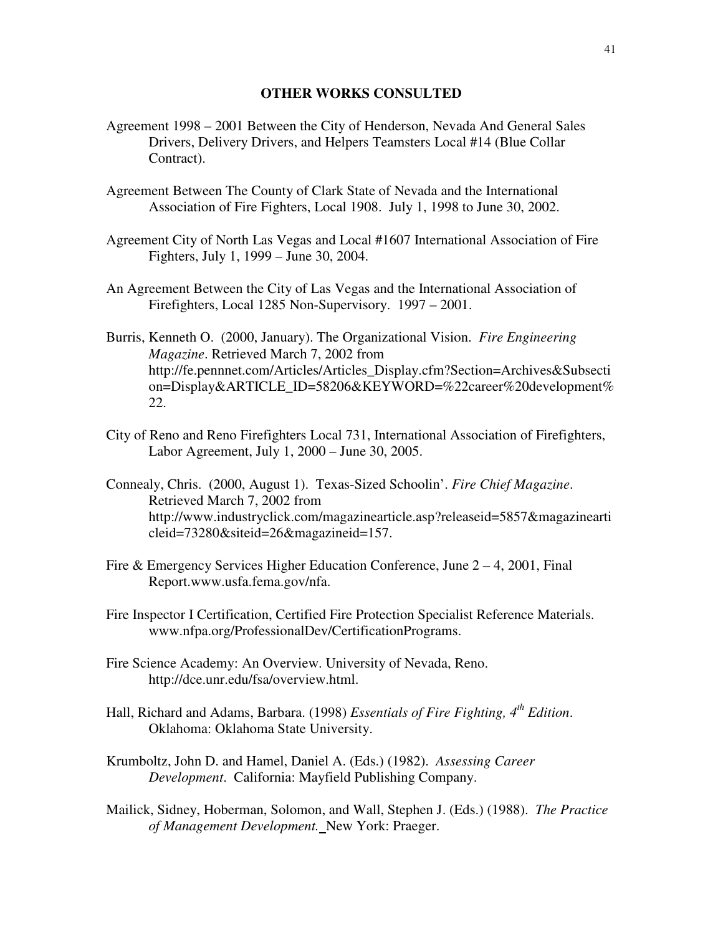#### **OTHER WORKS CONSULTED**

- Agreement 1998 2001 Between the City of Henderson, Nevada And General Sales Drivers, Delivery Drivers, and Helpers Teamsters Local #14 (Blue Collar Contract).
- Agreement Between The County of Clark State of Nevada and the International Association of Fire Fighters, Local 1908. July 1, 1998 to June 30, 2002.
- Agreement City of North Las Vegas and Local #1607 International Association of Fire Fighters, July 1, 1999 – June 30, 2004.
- An Agreement Between the City of Las Vegas and the International Association of Firefighters, Local 1285 Non-Supervisory. 1997 – 2001.
- Burris, Kenneth O. (2000, January). The Organizational Vision. *Fire Engineering Magazine*. Retrieved March 7, 2002 from http://fe.pennnet.com/Articles/Articles\_Display.cfm?Section=Archives&Subsecti on=Display&ARTICLE\_ID=58206&KEYWORD=%22career%20development% 22.
- City of Reno and Reno Firefighters Local 731, International Association of Firefighters, Labor Agreement, July 1, 2000 – June 30, 2005.
- Connealy, Chris. (2000, August 1). Texas-Sized Schoolin'. *Fire Chief Magazine*. Retrieved March 7, 2002 from http://www.industryclick.com/magazinearticle.asp?releaseid=5857&magazinearti cleid=73280&siteid=26&magazineid=157.
- Fire & Emergency Services Higher Education Conference, June  $2 4$ , 2001, Final Report.www.usfa.fema.gov/nfa.
- Fire Inspector I Certification, Certified Fire Protection Specialist Reference Materials. www.nfpa.org/ProfessionalDev/CertificationPrograms.
- Fire Science Academy: An Overview. University of Nevada, Reno. http://dce.unr.edu/fsa/overview.html.
- Hall, Richard and Adams, Barbara. (1998) *Essentials of Fire Fighting, 4th Edition*. Oklahoma: Oklahoma State University.
- Krumboltz, John D. and Hamel, Daniel A. (Eds.) (1982). *Assessing Career Development*. California: Mayfield Publishing Company.
- Mailick, Sidney, Hoberman, Solomon, and Wall, Stephen J. (Eds.) (1988). *The Practice of Management Development.* New York: Praeger.